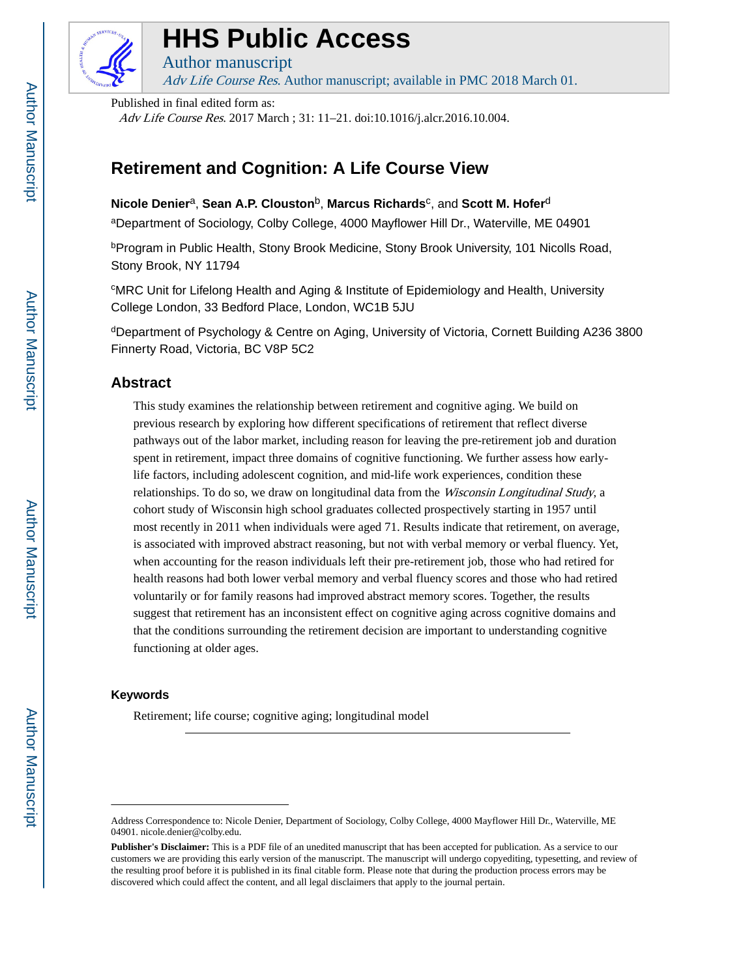

### **HHS Public Access**

Adv Life Course Res. Author manuscript; available in PMC 2018 March 01.

Published in final edited form as:

Author manuscript

Adv Life Course Res. 2017 March ; 31: 11–21. doi:10.1016/j.alcr.2016.10.004.

#### **Retirement and Cognition: A Life Course View**

**Nicole Denier**a, **Sean A.P. Clouston**b, **Marcus Richards**<sup>c</sup> , and **Scott M. Hofer**<sup>d</sup>

aDepartment of Sociology, Colby College, 4000 Mayflower Hill Dr., Waterville, ME 04901

bProgram in Public Health, Stony Brook Medicine, Stony Brook University, 101 Nicolls Road, Stony Brook, NY 11794

<sup>c</sup>MRC Unit for Lifelong Health and Aging & Institute of Epidemiology and Health, University College London, 33 Bedford Place, London, WC1B 5JU

<sup>d</sup>Department of Psychology & Centre on Aging, University of Victoria, Cornett Building A236 3800 Finnerty Road, Victoria, BC V8P 5C2

#### **Abstract**

This study examines the relationship between retirement and cognitive aging. We build on previous research by exploring how different specifications of retirement that reflect diverse pathways out of the labor market, including reason for leaving the pre-retirement job and duration spent in retirement, impact three domains of cognitive functioning. We further assess how earlylife factors, including adolescent cognition, and mid-life work experiences, condition these relationships. To do so, we draw on longitudinal data from the *Wisconsin Longitudinal Study*, a cohort study of Wisconsin high school graduates collected prospectively starting in 1957 until most recently in 2011 when individuals were aged 71. Results indicate that retirement, on average, is associated with improved abstract reasoning, but not with verbal memory or verbal fluency. Yet, when accounting for the reason individuals left their pre-retirement job, those who had retired for health reasons had both lower verbal memory and verbal fluency scores and those who had retired voluntarily or for family reasons had improved abstract memory scores. Together, the results suggest that retirement has an inconsistent effect on cognitive aging across cognitive domains and that the conditions surrounding the retirement decision are important to understanding cognitive functioning at older ages.

#### **Keywords**

Retirement; life course; cognitive aging; longitudinal model

Address Correspondence to: Nicole Denier, Department of Sociology, Colby College, 4000 Mayflower Hill Dr., Waterville, ME 04901. nicole.denier@colby.edu.

**Publisher's Disclaimer:** This is a PDF file of an unedited manuscript that has been accepted for publication. As a service to our customers we are providing this early version of the manuscript. The manuscript will undergo copyediting, typesetting, and review of the resulting proof before it is published in its final citable form. Please note that during the production process errors may be discovered which could affect the content, and all legal disclaimers that apply to the journal pertain.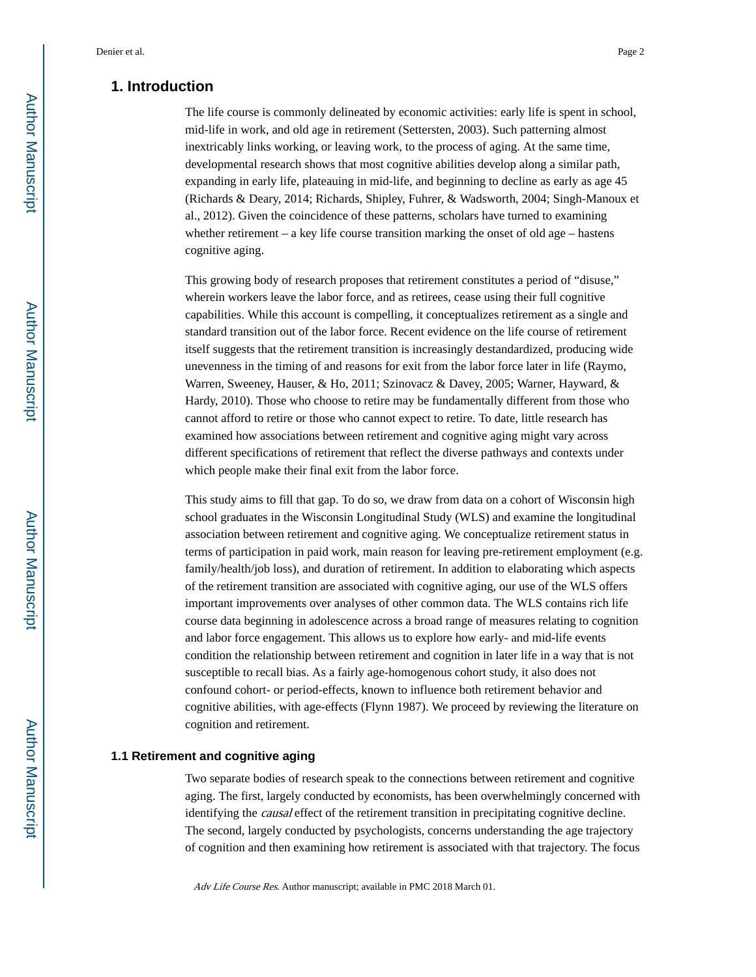#### **1. Introduction**

The life course is commonly delineated by economic activities: early life is spent in school, mid-life in work, and old age in retirement (Settersten, 2003). Such patterning almost inextricably links working, or leaving work, to the process of aging. At the same time, developmental research shows that most cognitive abilities develop along a similar path, expanding in early life, plateauing in mid-life, and beginning to decline as early as age 45 (Richards & Deary, 2014; Richards, Shipley, Fuhrer, & Wadsworth, 2004; Singh-Manoux et al., 2012). Given the coincidence of these patterns, scholars have turned to examining whether retirement – a key life course transition marking the onset of old age – hastens cognitive aging.

This growing body of research proposes that retirement constitutes a period of "disuse," wherein workers leave the labor force, and as retirees, cease using their full cognitive capabilities. While this account is compelling, it conceptualizes retirement as a single and standard transition out of the labor force. Recent evidence on the life course of retirement itself suggests that the retirement transition is increasingly destandardized, producing wide unevenness in the timing of and reasons for exit from the labor force later in life (Raymo, Warren, Sweeney, Hauser, & Ho, 2011; Szinovacz & Davey, 2005; Warner, Hayward, & Hardy, 2010). Those who choose to retire may be fundamentally different from those who cannot afford to retire or those who cannot expect to retire. To date, little research has examined how associations between retirement and cognitive aging might vary across different specifications of retirement that reflect the diverse pathways and contexts under which people make their final exit from the labor force.

This study aims to fill that gap. To do so, we draw from data on a cohort of Wisconsin high school graduates in the Wisconsin Longitudinal Study (WLS) and examine the longitudinal association between retirement and cognitive aging. We conceptualize retirement status in terms of participation in paid work, main reason for leaving pre-retirement employment (e.g. family/health/job loss), and duration of retirement. In addition to elaborating which aspects of the retirement transition are associated with cognitive aging, our use of the WLS offers important improvements over analyses of other common data. The WLS contains rich life course data beginning in adolescence across a broad range of measures relating to cognition and labor force engagement. This allows us to explore how early- and mid-life events condition the relationship between retirement and cognition in later life in a way that is not susceptible to recall bias. As a fairly age-homogenous cohort study, it also does not confound cohort- or period-effects, known to influence both retirement behavior and cognitive abilities, with age-effects (Flynn 1987). We proceed by reviewing the literature on cognition and retirement.

#### **1.1 Retirement and cognitive aging**

Two separate bodies of research speak to the connections between retirement and cognitive aging. The first, largely conducted by economists, has been overwhelmingly concerned with identifying the *causal* effect of the retirement transition in precipitating cognitive decline. The second, largely conducted by psychologists, concerns understanding the age trajectory of cognition and then examining how retirement is associated with that trajectory. The focus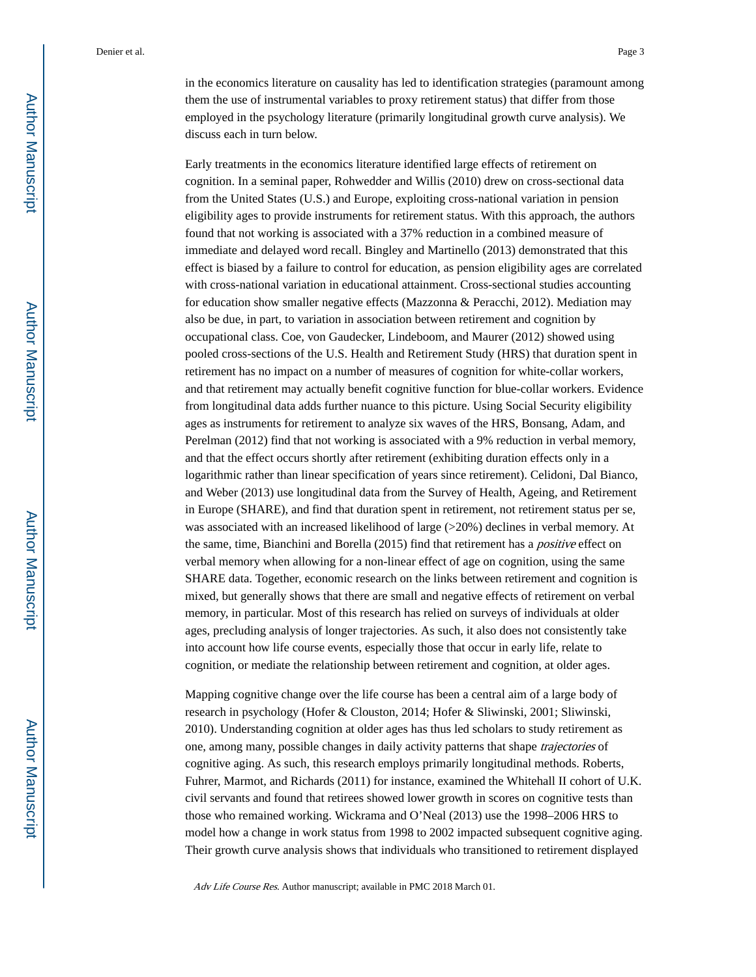in the economics literature on causality has led to identification strategies (paramount among them the use of instrumental variables to proxy retirement status) that differ from those employed in the psychology literature (primarily longitudinal growth curve analysis). We discuss each in turn below.

Early treatments in the economics literature identified large effects of retirement on cognition. In a seminal paper, Rohwedder and Willis (2010) drew on cross-sectional data from the United States (U.S.) and Europe, exploiting cross-national variation in pension eligibility ages to provide instruments for retirement status. With this approach, the authors found that not working is associated with a 37% reduction in a combined measure of immediate and delayed word recall. Bingley and Martinello (2013) demonstrated that this effect is biased by a failure to control for education, as pension eligibility ages are correlated with cross-national variation in educational attainment. Cross-sectional studies accounting for education show smaller negative effects (Mazzonna & Peracchi, 2012). Mediation may also be due, in part, to variation in association between retirement and cognition by occupational class. Coe, von Gaudecker, Lindeboom, and Maurer (2012) showed using pooled cross-sections of the U.S. Health and Retirement Study (HRS) that duration spent in retirement has no impact on a number of measures of cognition for white-collar workers, and that retirement may actually benefit cognitive function for blue-collar workers. Evidence from longitudinal data adds further nuance to this picture. Using Social Security eligibility ages as instruments for retirement to analyze six waves of the HRS, Bonsang, Adam, and Perelman (2012) find that not working is associated with a 9% reduction in verbal memory, and that the effect occurs shortly after retirement (exhibiting duration effects only in a logarithmic rather than linear specification of years since retirement). Celidoni, Dal Bianco, and Weber (2013) use longitudinal data from the Survey of Health, Ageing, and Retirement in Europe (SHARE), and find that duration spent in retirement, not retirement status per se, was associated with an increased likelihood of large ( $>20\%$ ) declines in verbal memory. At the same, time, Bianchini and Borella (2015) find that retirement has a positive effect on verbal memory when allowing for a non-linear effect of age on cognition, using the same SHARE data. Together, economic research on the links between retirement and cognition is mixed, but generally shows that there are small and negative effects of retirement on verbal memory, in particular. Most of this research has relied on surveys of individuals at older ages, precluding analysis of longer trajectories. As such, it also does not consistently take into account how life course events, especially those that occur in early life, relate to cognition, or mediate the relationship between retirement and cognition, at older ages.

Mapping cognitive change over the life course has been a central aim of a large body of research in psychology (Hofer & Clouston, 2014; Hofer & Sliwinski, 2001; Sliwinski, 2010). Understanding cognition at older ages has thus led scholars to study retirement as one, among many, possible changes in daily activity patterns that shape *trajectories* of cognitive aging. As such, this research employs primarily longitudinal methods. Roberts, Fuhrer, Marmot, and Richards (2011) for instance, examined the Whitehall II cohort of U.K. civil servants and found that retirees showed lower growth in scores on cognitive tests than those who remained working. Wickrama and O'Neal (2013) use the 1998–2006 HRS to model how a change in work status from 1998 to 2002 impacted subsequent cognitive aging. Their growth curve analysis shows that individuals who transitioned to retirement displayed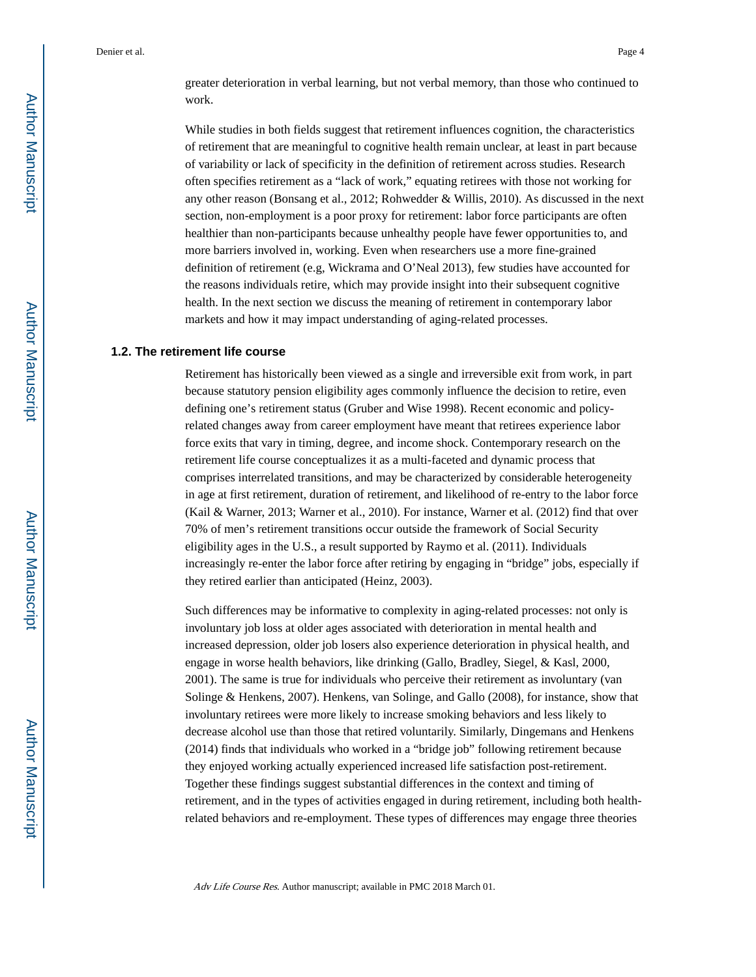greater deterioration in verbal learning, but not verbal memory, than those who continued to work.

While studies in both fields suggest that retirement influences cognition, the characteristics of retirement that are meaningful to cognitive health remain unclear, at least in part because of variability or lack of specificity in the definition of retirement across studies. Research often specifies retirement as a "lack of work," equating retirees with those not working for any other reason (Bonsang et al., 2012; Rohwedder & Willis, 2010). As discussed in the next section, non-employment is a poor proxy for retirement: labor force participants are often healthier than non-participants because unhealthy people have fewer opportunities to, and more barriers involved in, working. Even when researchers use a more fine-grained definition of retirement (e.g, Wickrama and O'Neal 2013), few studies have accounted for the reasons individuals retire, which may provide insight into their subsequent cognitive health. In the next section we discuss the meaning of retirement in contemporary labor markets and how it may impact understanding of aging-related processes.

#### **1.2. The retirement life course**

Retirement has historically been viewed as a single and irreversible exit from work, in part because statutory pension eligibility ages commonly influence the decision to retire, even defining one's retirement status (Gruber and Wise 1998). Recent economic and policyrelated changes away from career employment have meant that retirees experience labor force exits that vary in timing, degree, and income shock. Contemporary research on the retirement life course conceptualizes it as a multi-faceted and dynamic process that comprises interrelated transitions, and may be characterized by considerable heterogeneity in age at first retirement, duration of retirement, and likelihood of re-entry to the labor force (Kail & Warner, 2013; Warner et al., 2010). For instance, Warner et al. (2012) find that over 70% of men's retirement transitions occur outside the framework of Social Security eligibility ages in the U.S., a result supported by Raymo et al. (2011). Individuals increasingly re-enter the labor force after retiring by engaging in "bridge" jobs, especially if they retired earlier than anticipated (Heinz, 2003).

Such differences may be informative to complexity in aging-related processes: not only is involuntary job loss at older ages associated with deterioration in mental health and increased depression, older job losers also experience deterioration in physical health, and engage in worse health behaviors, like drinking (Gallo, Bradley, Siegel, & Kasl, 2000, 2001). The same is true for individuals who perceive their retirement as involuntary (van Solinge & Henkens, 2007). Henkens, van Solinge, and Gallo (2008), for instance, show that involuntary retirees were more likely to increase smoking behaviors and less likely to decrease alcohol use than those that retired voluntarily. Similarly, Dingemans and Henkens (2014) finds that individuals who worked in a "bridge job" following retirement because they enjoyed working actually experienced increased life satisfaction post-retirement. Together these findings suggest substantial differences in the context and timing of retirement, and in the types of activities engaged in during retirement, including both healthrelated behaviors and re-employment. These types of differences may engage three theories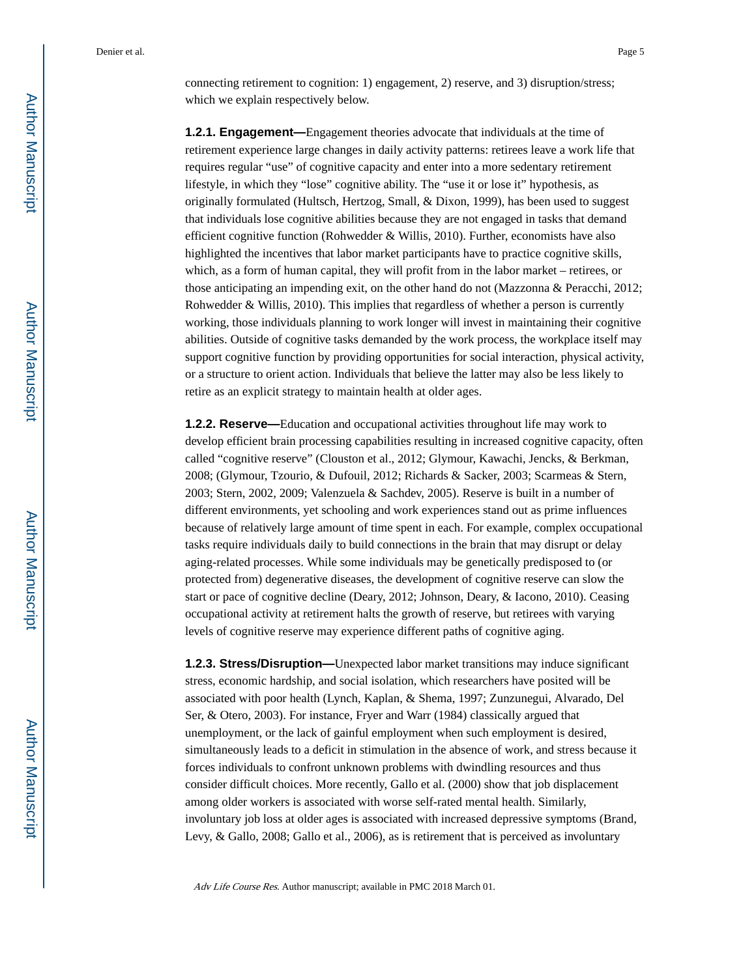connecting retirement to cognition: 1) engagement, 2) reserve, and 3) disruption/stress; which we explain respectively below.

**1.2.1. Engagement—**Engagement theories advocate that individuals at the time of retirement experience large changes in daily activity patterns: retirees leave a work life that requires regular "use" of cognitive capacity and enter into a more sedentary retirement lifestyle, in which they "lose" cognitive ability. The "use it or lose it" hypothesis, as originally formulated (Hultsch, Hertzog, Small, & Dixon, 1999), has been used to suggest that individuals lose cognitive abilities because they are not engaged in tasks that demand efficient cognitive function (Rohwedder & Willis, 2010). Further, economists have also highlighted the incentives that labor market participants have to practice cognitive skills, which, as a form of human capital, they will profit from in the labor market – retirees, or those anticipating an impending exit, on the other hand do not (Mazzonna & Peracchi, 2012; Rohwedder & Willis, 2010). This implies that regardless of whether a person is currently working, those individuals planning to work longer will invest in maintaining their cognitive abilities. Outside of cognitive tasks demanded by the work process, the workplace itself may support cognitive function by providing opportunities for social interaction, physical activity, or a structure to orient action. Individuals that believe the latter may also be less likely to retire as an explicit strategy to maintain health at older ages.

**1.2.2. Reserve—**Education and occupational activities throughout life may work to develop efficient brain processing capabilities resulting in increased cognitive capacity, often called "cognitive reserve" (Clouston et al., 2012; Glymour, Kawachi, Jencks, & Berkman, 2008; (Glymour, Tzourio, & Dufouil, 2012; Richards & Sacker, 2003; Scarmeas & Stern, 2003; Stern, 2002, 2009; Valenzuela & Sachdev, 2005). Reserve is built in a number of different environments, yet schooling and work experiences stand out as prime influences because of relatively large amount of time spent in each. For example, complex occupational tasks require individuals daily to build connections in the brain that may disrupt or delay aging-related processes. While some individuals may be genetically predisposed to (or protected from) degenerative diseases, the development of cognitive reserve can slow the start or pace of cognitive decline (Deary, 2012; Johnson, Deary, & Iacono, 2010). Ceasing occupational activity at retirement halts the growth of reserve, but retirees with varying levels of cognitive reserve may experience different paths of cognitive aging.

**1.2.3. Stress/Disruption—**Unexpected labor market transitions may induce significant stress, economic hardship, and social isolation, which researchers have posited will be associated with poor health (Lynch, Kaplan, & Shema, 1997; Zunzunegui, Alvarado, Del Ser, & Otero, 2003). For instance, Fryer and Warr (1984) classically argued that unemployment, or the lack of gainful employment when such employment is desired, simultaneously leads to a deficit in stimulation in the absence of work, and stress because it forces individuals to confront unknown problems with dwindling resources and thus consider difficult choices. More recently, Gallo et al. (2000) show that job displacement among older workers is associated with worse self-rated mental health. Similarly, involuntary job loss at older ages is associated with increased depressive symptoms (Brand, Levy, & Gallo, 2008; Gallo et al., 2006), as is retirement that is perceived as involuntary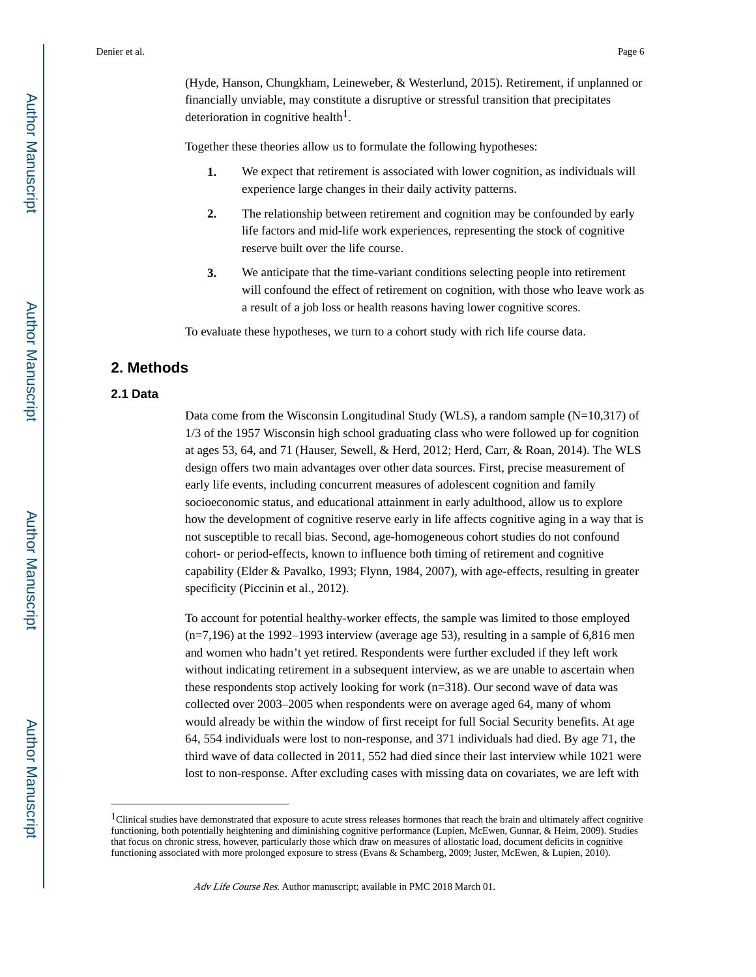(Hyde, Hanson, Chungkham, Leineweber, & Westerlund, 2015). Retirement, if unplanned or financially unviable, may constitute a disruptive or stressful transition that precipitates deterioration in cognitive health<sup>1</sup>.

Together these theories allow us to formulate the following hypotheses:

- **1.** We expect that retirement is associated with lower cognition, as individuals will experience large changes in their daily activity patterns.
- **2.** The relationship between retirement and cognition may be confounded by early life factors and mid-life work experiences, representing the stock of cognitive reserve built over the life course.
- **3.** We anticipate that the time-variant conditions selecting people into retirement will confound the effect of retirement on cognition, with those who leave work as a result of a job loss or health reasons having lower cognitive scores.

To evaluate these hypotheses, we turn to a cohort study with rich life course data.

#### **2. Methods**

#### **2.1 Data**

Data come from the Wisconsin Longitudinal Study (WLS), a random sample  $(N=10,317)$  of 1/3 of the 1957 Wisconsin high school graduating class who were followed up for cognition at ages 53, 64, and 71 (Hauser, Sewell, & Herd, 2012; Herd, Carr, & Roan, 2014). The WLS design offers two main advantages over other data sources. First, precise measurement of early life events, including concurrent measures of adolescent cognition and family socioeconomic status, and educational attainment in early adulthood, allow us to explore how the development of cognitive reserve early in life affects cognitive aging in a way that is not susceptible to recall bias. Second, age-homogeneous cohort studies do not confound cohort- or period-effects, known to influence both timing of retirement and cognitive capability (Elder & Pavalko, 1993; Flynn, 1984, 2007), with age-effects, resulting in greater specificity (Piccinin et al., 2012).

To account for potential healthy-worker effects, the sample was limited to those employed  $(n=7,196)$  at the 1992–1993 interview (average age 53), resulting in a sample of 6,816 men and women who hadn't yet retired. Respondents were further excluded if they left work without indicating retirement in a subsequent interview, as we are unable to ascertain when these respondents stop actively looking for work (n=318). Our second wave of data was collected over 2003–2005 when respondents were on average aged 64, many of whom would already be within the window of first receipt for full Social Security benefits. At age 64, 554 individuals were lost to non-response, and 371 individuals had died. By age 71, the third wave of data collected in 2011, 552 had died since their last interview while 1021 were lost to non-response. After excluding cases with missing data on covariates, we are left with

<sup>&</sup>lt;sup>1</sup>Clinical studies have demonstrated that exposure to acute stress releases hormones that reach the brain and ultimately affect cognitive functioning, both potentially heightening and diminishing cognitive performance (Lupien, McEwen, Gunnar, & Heim, 2009). Studies that focus on chronic stress, however, particularly those which draw on measures of allostatic load, document deficits in cognitive functioning associated with more prolonged exposure to stress (Evans & Schamberg, 2009; Juster, McEwen, & Lupien, 2010).

Adv Life Course Res. Author manuscript; available in PMC 2018 March 01.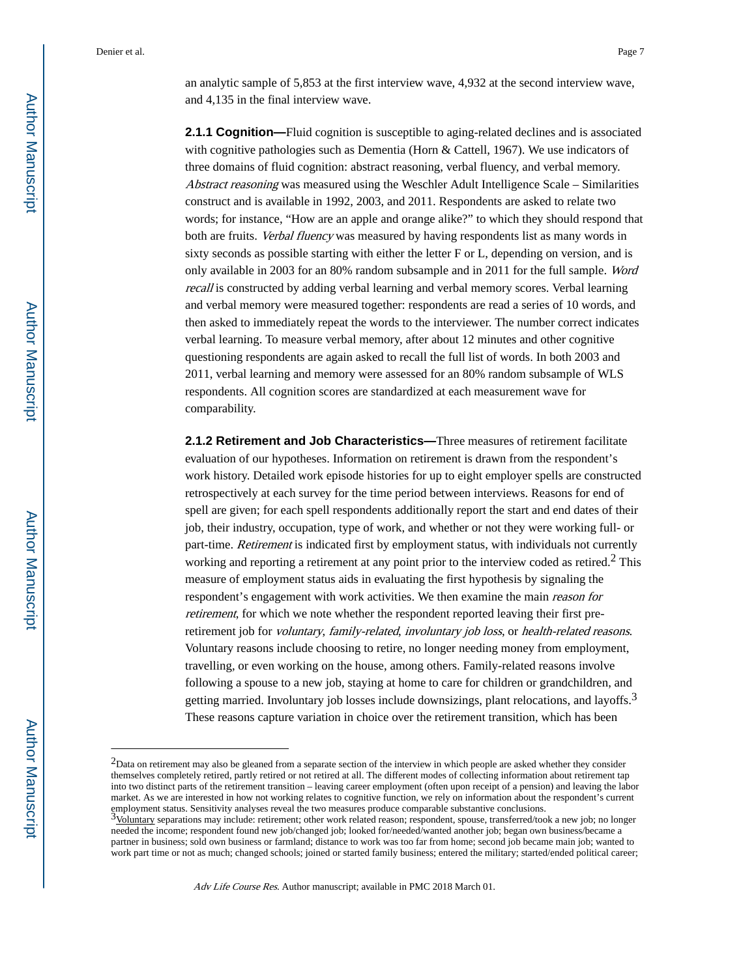an analytic sample of 5,853 at the first interview wave, 4,932 at the second interview wave, and 4,135 in the final interview wave.

**2.1.1 Cognition—**Fluid cognition is susceptible to aging-related declines and is associated with cognitive pathologies such as Dementia (Horn & Cattell, 1967). We use indicators of three domains of fluid cognition: abstract reasoning, verbal fluency, and verbal memory. Abstract reasoning was measured using the Weschler Adult Intelligence Scale – Similarities construct and is available in 1992, 2003, and 2011. Respondents are asked to relate two words; for instance, "How are an apple and orange alike?" to which they should respond that both are fruits. Verbal fluency was measured by having respondents list as many words in sixty seconds as possible starting with either the letter F or L, depending on version, and is only available in 2003 for an 80% random subsample and in 2011 for the full sample. Word recall is constructed by adding verbal learning and verbal memory scores. Verbal learning and verbal memory were measured together: respondents are read a series of 10 words, and then asked to immediately repeat the words to the interviewer. The number correct indicates verbal learning. To measure verbal memory, after about 12 minutes and other cognitive questioning respondents are again asked to recall the full list of words. In both 2003 and 2011, verbal learning and memory were assessed for an 80% random subsample of WLS respondents. All cognition scores are standardized at each measurement wave for comparability.

**2.1.2 Retirement and Job Characteristics—**Three measures of retirement facilitate evaluation of our hypotheses. Information on retirement is drawn from the respondent's work history. Detailed work episode histories for up to eight employer spells are constructed retrospectively at each survey for the time period between interviews. Reasons for end of spell are given; for each spell respondents additionally report the start and end dates of their job, their industry, occupation, type of work, and whether or not they were working full- or part-time. Retirement is indicated first by employment status, with individuals not currently working and reporting a retirement at any point prior to the interview coded as retired.<sup>2</sup> This measure of employment status aids in evaluating the first hypothesis by signaling the respondent's engagement with work activities. We then examine the main reason for retirement, for which we note whether the respondent reported leaving their first preretirement job for voluntary, family-related, involuntary job loss, or health-related reasons. Voluntary reasons include choosing to retire, no longer needing money from employment, travelling, or even working on the house, among others. Family-related reasons involve following a spouse to a new job, staying at home to care for children or grandchildren, and getting married. Involuntary job losses include downsizings, plant relocations, and layoffs.<sup>3</sup> These reasons capture variation in choice over the retirement transition, which has been

<sup>2</sup>Data on retirement may also be gleaned from a separate section of the interview in which people are asked whether they consider themselves completely retired, partly retired or not retired at all. The different modes of collecting information about retirement tap into two distinct parts of the retirement transition – leaving career employment (often upon receipt of a pension) and leaving the labor market. As we are interested in how not working relates to cognitive function, we rely on information about the respondent's current employment status. Sensitivity analyses reveal the two measures produce comparable substantive conclusions.<br><sup>3</sup>Voluntary separations may include: retirement; other work related reason; respondent, spouse, transferred/took

needed the income; respondent found new job/changed job; looked for/needed/wanted another job; began own business/became a partner in business; sold own business or farmland; distance to work was too far from home; second job became main job; wanted to work part time or not as much; changed schools; joined or started family business; entered the military; started/ended political career;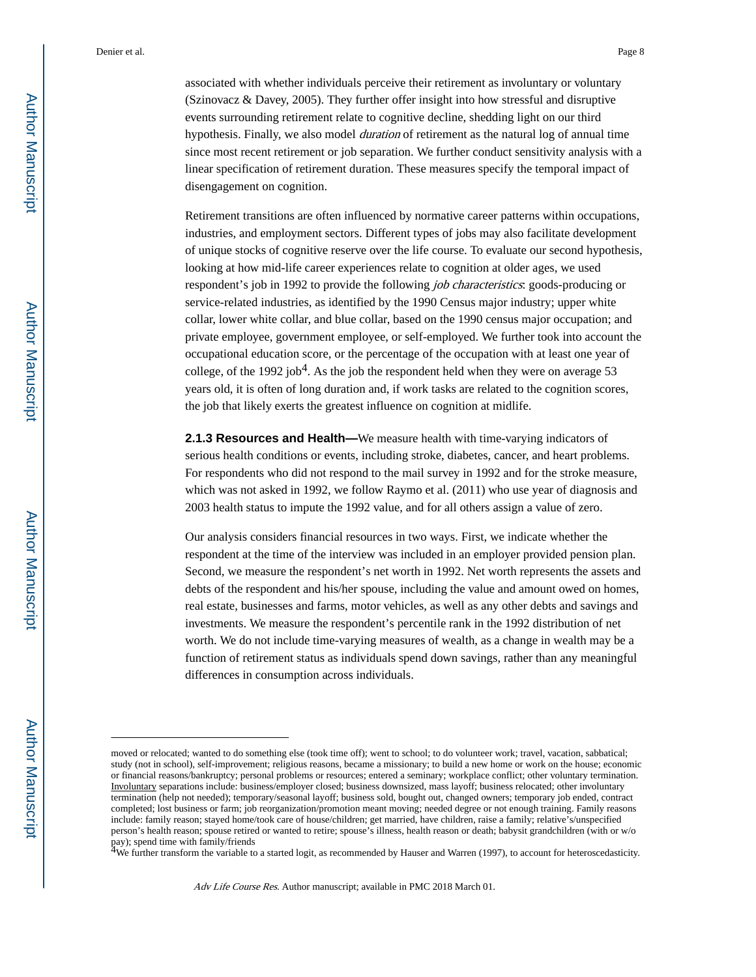associated with whether individuals perceive their retirement as involuntary or voluntary (Szinovacz & Davey, 2005). They further offer insight into how stressful and disruptive events surrounding retirement relate to cognitive decline, shedding light on our third hypothesis. Finally, we also model duration of retirement as the natural log of annual time since most recent retirement or job separation. We further conduct sensitivity analysis with a linear specification of retirement duration. These measures specify the temporal impact of disengagement on cognition.

Retirement transitions are often influenced by normative career patterns within occupations, industries, and employment sectors. Different types of jobs may also facilitate development of unique stocks of cognitive reserve over the life course. To evaluate our second hypothesis, looking at how mid-life career experiences relate to cognition at older ages, we used respondent's job in 1992 to provide the following job characteristics: goods-producing or service-related industries, as identified by the 1990 Census major industry; upper white collar, lower white collar, and blue collar, based on the 1990 census major occupation; and private employee, government employee, or self-employed. We further took into account the occupational education score, or the percentage of the occupation with at least one year of college, of the 1992 job<sup>4</sup>. As the job the respondent held when they were on average 53 years old, it is often of long duration and, if work tasks are related to the cognition scores, the job that likely exerts the greatest influence on cognition at midlife.

**2.1.3 Resources and Health—**We measure health with time-varying indicators of serious health conditions or events, including stroke, diabetes, cancer, and heart problems. For respondents who did not respond to the mail survey in 1992 and for the stroke measure, which was not asked in 1992, we follow Raymo et al. (2011) who use year of diagnosis and 2003 health status to impute the 1992 value, and for all others assign a value of zero.

Our analysis considers financial resources in two ways. First, we indicate whether the respondent at the time of the interview was included in an employer provided pension plan. Second, we measure the respondent's net worth in 1992. Net worth represents the assets and debts of the respondent and his/her spouse, including the value and amount owed on homes, real estate, businesses and farms, motor vehicles, as well as any other debts and savings and investments. We measure the respondent's percentile rank in the 1992 distribution of net worth. We do not include time-varying measures of wealth, as a change in wealth may be a function of retirement status as individuals spend down savings, rather than any meaningful differences in consumption across individuals.

moved or relocated; wanted to do something else (took time off); went to school; to do volunteer work; travel, vacation, sabbatical; study (not in school), self-improvement; religious reasons, became a missionary; to build a new home or work on the house; economic or financial reasons/bankruptcy; personal problems or resources; entered a seminary; workplace conflict; other voluntary termination. Involuntary separations include: business/employer closed; business downsized, mass layoff; business relocated; other involuntary termination (help not needed); temporary/seasonal layoff; business sold, bought out, changed owners; temporary job ended, contract completed; lost business or farm; job reorganization/promotion meant moving; needed degree or not enough training. Family reasons include: family reason; stayed home/took care of house/children; get married, have children, raise a family; relative's/unspecified person's health reason; spouse retired or wanted to retire; spouse's illness, health reason or death; babysit grandchildren (with or w/o pay); spend time with family/friends<br><sup>4</sup>We further transform the variable to a started logit, as recommended by Hauser and Warren (1997), to account for heteroscedasticity.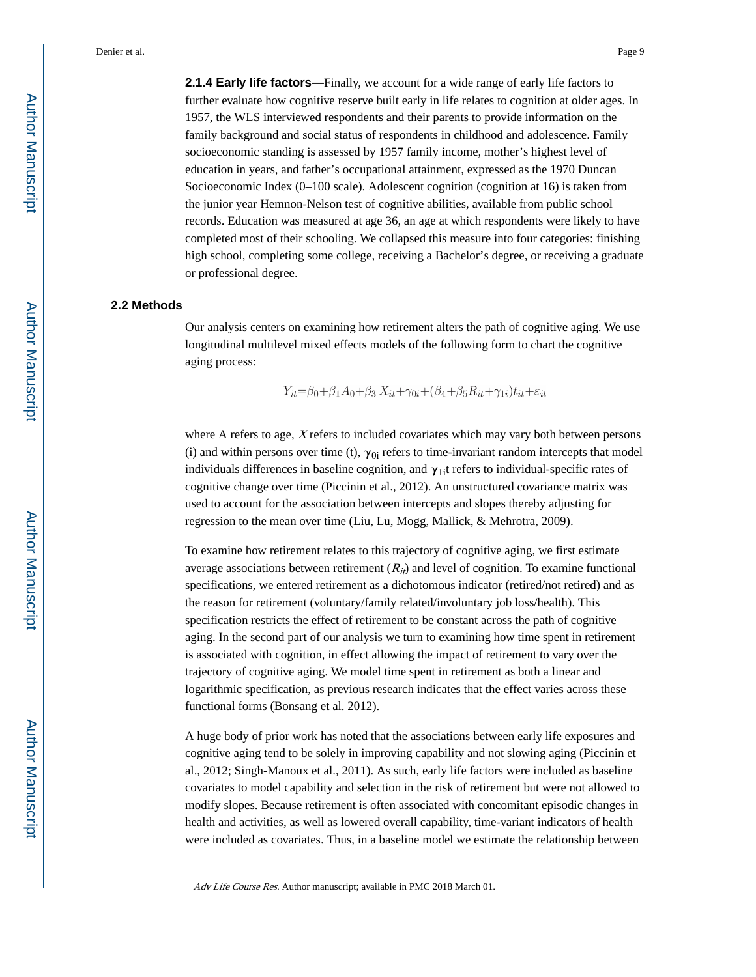**2.1.4 Early life factors—**Finally, we account for a wide range of early life factors to further evaluate how cognitive reserve built early in life relates to cognition at older ages. In 1957, the WLS interviewed respondents and their parents to provide information on the family background and social status of respondents in childhood and adolescence. Family socioeconomic standing is assessed by 1957 family income, mother's highest level of education in years, and father's occupational attainment, expressed as the 1970 Duncan Socioeconomic Index (0–100 scale). Adolescent cognition (cognition at 16) is taken from the junior year Hemnon-Nelson test of cognitive abilities, available from public school records. Education was measured at age 36, an age at which respondents were likely to have completed most of their schooling. We collapsed this measure into four categories: finishing high school, completing some college, receiving a Bachelor's degree, or receiving a graduate or professional degree.

#### **2.2 Methods**

Our analysis centers on examining how retirement alters the path of cognitive aging. We use longitudinal multilevel mixed effects models of the following form to chart the cognitive aging process:

$$
Y_{it} = \beta_0 + \beta_1 A_0 + \beta_3 X_{it} + \gamma_{0i} + (\beta_4 + \beta_5 R_{it} + \gamma_{1i}) t_{it} + \varepsilon_{it}
$$

where A refers to age, X refers to included covariates which may vary both between persons (i) and within persons over time (t),  $\gamma_{0i}$  refers to time-invariant random intercepts that model individuals differences in baseline cognition, and  $\gamma_{1i}$ t refers to individual-specific rates of cognitive change over time (Piccinin et al., 2012). An unstructured covariance matrix was used to account for the association between intercepts and slopes thereby adjusting for regression to the mean over time (Liu, Lu, Mogg, Mallick, & Mehrotra, 2009).

To examine how retirement relates to this trajectory of cognitive aging, we first estimate average associations between retirement  $(R_{it})$  and level of cognition. To examine functional specifications, we entered retirement as a dichotomous indicator (retired/not retired) and as the reason for retirement (voluntary/family related/involuntary job loss/health). This specification restricts the effect of retirement to be constant across the path of cognitive aging. In the second part of our analysis we turn to examining how time spent in retirement is associated with cognition, in effect allowing the impact of retirement to vary over the trajectory of cognitive aging. We model time spent in retirement as both a linear and logarithmic specification, as previous research indicates that the effect varies across these functional forms (Bonsang et al. 2012).

A huge body of prior work has noted that the associations between early life exposures and cognitive aging tend to be solely in improving capability and not slowing aging (Piccinin et al., 2012; Singh-Manoux et al., 2011). As such, early life factors were included as baseline covariates to model capability and selection in the risk of retirement but were not allowed to modify slopes. Because retirement is often associated with concomitant episodic changes in health and activities, as well as lowered overall capability, time-variant indicators of health were included as covariates. Thus, in a baseline model we estimate the relationship between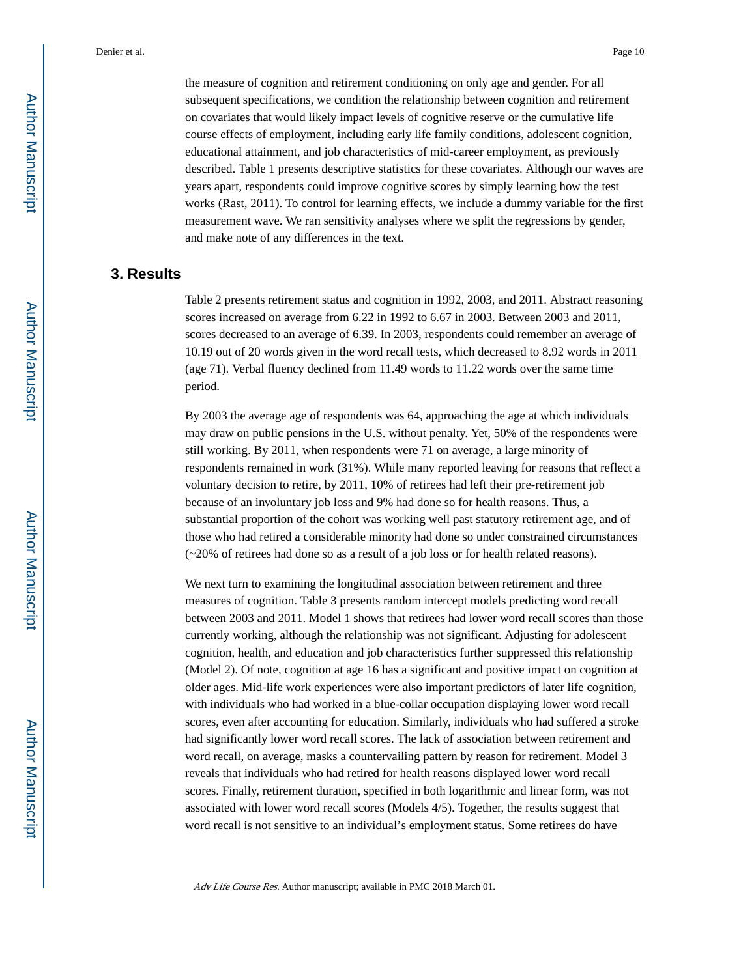the measure of cognition and retirement conditioning on only age and gender. For all subsequent specifications, we condition the relationship between cognition and retirement on covariates that would likely impact levels of cognitive reserve or the cumulative life course effects of employment, including early life family conditions, adolescent cognition, educational attainment, and job characteristics of mid-career employment, as previously described. Table 1 presents descriptive statistics for these covariates. Although our waves are years apart, respondents could improve cognitive scores by simply learning how the test works (Rast, 2011). To control for learning effects, we include a dummy variable for the first measurement wave. We ran sensitivity analyses where we split the regressions by gender, and make note of any differences in the text.

#### **3. Results**

Table 2 presents retirement status and cognition in 1992, 2003, and 2011. Abstract reasoning scores increased on average from 6.22 in 1992 to 6.67 in 2003. Between 2003 and 2011, scores decreased to an average of 6.39. In 2003, respondents could remember an average of 10.19 out of 20 words given in the word recall tests, which decreased to 8.92 words in 2011 (age 71). Verbal fluency declined from 11.49 words to 11.22 words over the same time period.

By 2003 the average age of respondents was 64, approaching the age at which individuals may draw on public pensions in the U.S. without penalty. Yet, 50% of the respondents were still working. By 2011, when respondents were 71 on average, a large minority of respondents remained in work (31%). While many reported leaving for reasons that reflect a voluntary decision to retire, by 2011, 10% of retirees had left their pre-retirement job because of an involuntary job loss and 9% had done so for health reasons. Thus, a substantial proportion of the cohort was working well past statutory retirement age, and of those who had retired a considerable minority had done so under constrained circumstances (~20% of retirees had done so as a result of a job loss or for health related reasons).

We next turn to examining the longitudinal association between retirement and three measures of cognition. Table 3 presents random intercept models predicting word recall between 2003 and 2011. Model 1 shows that retirees had lower word recall scores than those currently working, although the relationship was not significant. Adjusting for adolescent cognition, health, and education and job characteristics further suppressed this relationship (Model 2). Of note, cognition at age 16 has a significant and positive impact on cognition at older ages. Mid-life work experiences were also important predictors of later life cognition, with individuals who had worked in a blue-collar occupation displaying lower word recall scores, even after accounting for education. Similarly, individuals who had suffered a stroke had significantly lower word recall scores. The lack of association between retirement and word recall, on average, masks a countervailing pattern by reason for retirement. Model 3 reveals that individuals who had retired for health reasons displayed lower word recall scores. Finally, retirement duration, specified in both logarithmic and linear form, was not associated with lower word recall scores (Models 4/5). Together, the results suggest that word recall is not sensitive to an individual's employment status. Some retirees do have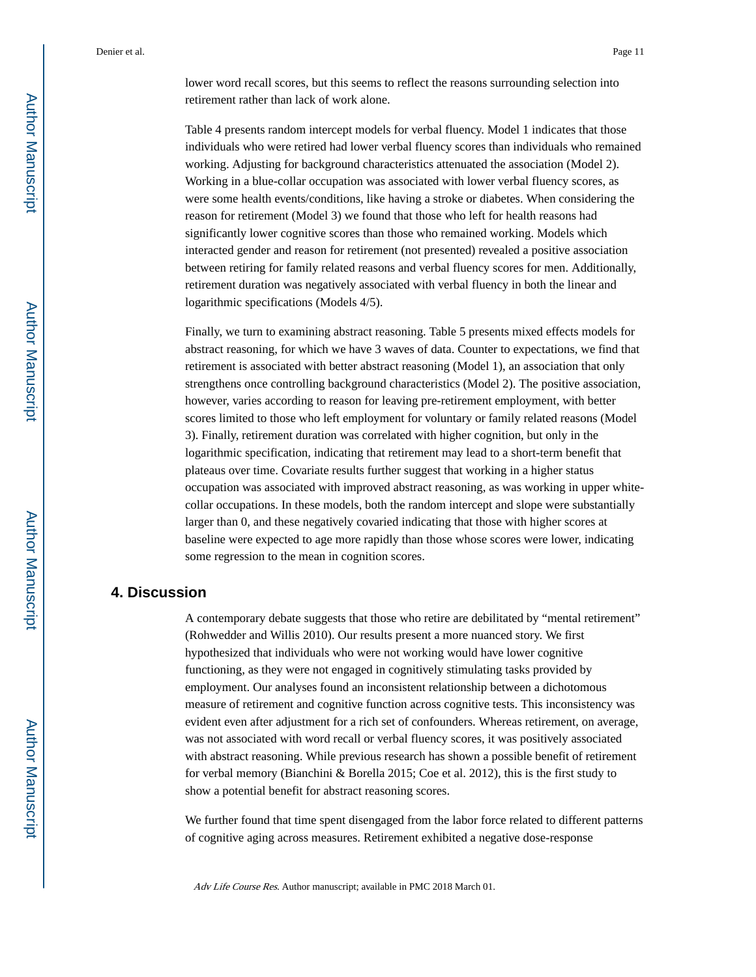lower word recall scores, but this seems to reflect the reasons surrounding selection into retirement rather than lack of work alone.

Table 4 presents random intercept models for verbal fluency. Model 1 indicates that those individuals who were retired had lower verbal fluency scores than individuals who remained working. Adjusting for background characteristics attenuated the association (Model 2). Working in a blue-collar occupation was associated with lower verbal fluency scores, as were some health events/conditions, like having a stroke or diabetes. When considering the reason for retirement (Model 3) we found that those who left for health reasons had significantly lower cognitive scores than those who remained working. Models which interacted gender and reason for retirement (not presented) revealed a positive association between retiring for family related reasons and verbal fluency scores for men. Additionally, retirement duration was negatively associated with verbal fluency in both the linear and logarithmic specifications (Models 4/5).

Finally, we turn to examining abstract reasoning. Table 5 presents mixed effects models for abstract reasoning, for which we have 3 waves of data. Counter to expectations, we find that retirement is associated with better abstract reasoning (Model 1), an association that only strengthens once controlling background characteristics (Model 2). The positive association, however, varies according to reason for leaving pre-retirement employment, with better scores limited to those who left employment for voluntary or family related reasons (Model 3). Finally, retirement duration was correlated with higher cognition, but only in the logarithmic specification, indicating that retirement may lead to a short-term benefit that plateaus over time. Covariate results further suggest that working in a higher status occupation was associated with improved abstract reasoning, as was working in upper whitecollar occupations. In these models, both the random intercept and slope were substantially larger than 0, and these negatively covaried indicating that those with higher scores at baseline were expected to age more rapidly than those whose scores were lower, indicating some regression to the mean in cognition scores.

#### **4. Discussion**

A contemporary debate suggests that those who retire are debilitated by "mental retirement" (Rohwedder and Willis 2010). Our results present a more nuanced story. We first hypothesized that individuals who were not working would have lower cognitive functioning, as they were not engaged in cognitively stimulating tasks provided by employment. Our analyses found an inconsistent relationship between a dichotomous measure of retirement and cognitive function across cognitive tests. This inconsistency was evident even after adjustment for a rich set of confounders. Whereas retirement, on average, was not associated with word recall or verbal fluency scores, it was positively associated with abstract reasoning. While previous research has shown a possible benefit of retirement for verbal memory (Bianchini & Borella 2015; Coe et al. 2012), this is the first study to show a potential benefit for abstract reasoning scores.

We further found that time spent disengaged from the labor force related to different patterns of cognitive aging across measures. Retirement exhibited a negative dose-response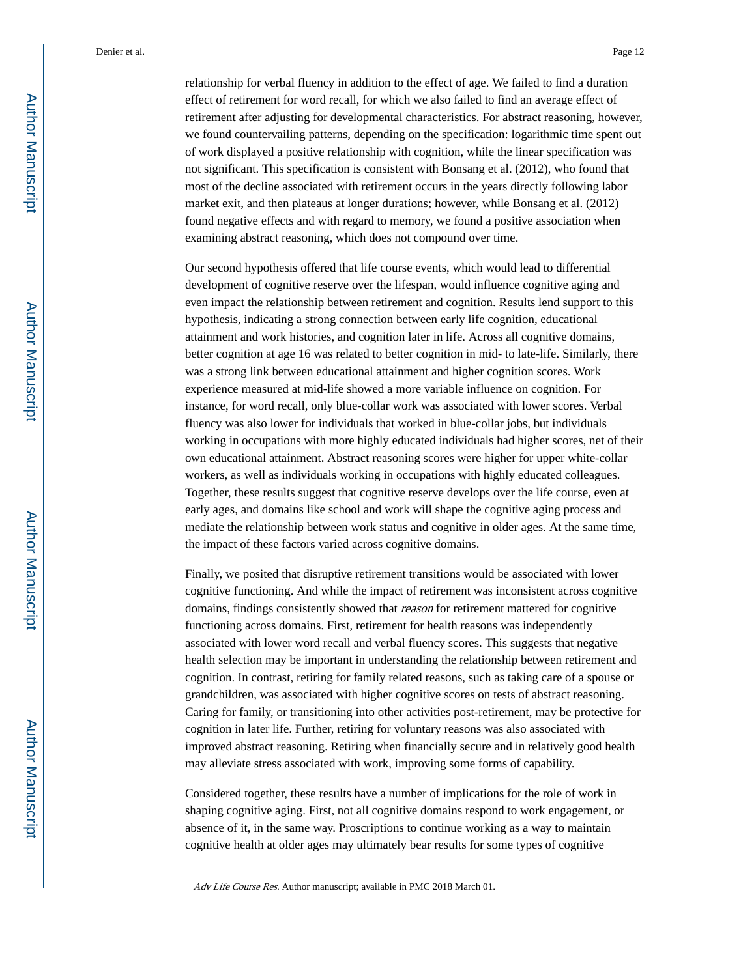relationship for verbal fluency in addition to the effect of age. We failed to find a duration effect of retirement for word recall, for which we also failed to find an average effect of retirement after adjusting for developmental characteristics. For abstract reasoning, however, we found countervailing patterns, depending on the specification: logarithmic time spent out of work displayed a positive relationship with cognition, while the linear specification was not significant. This specification is consistent with Bonsang et al. (2012), who found that most of the decline associated with retirement occurs in the years directly following labor market exit, and then plateaus at longer durations; however, while Bonsang et al. (2012) found negative effects and with regard to memory, we found a positive association when examining abstract reasoning, which does not compound over time.

Our second hypothesis offered that life course events, which would lead to differential development of cognitive reserve over the lifespan, would influence cognitive aging and even impact the relationship between retirement and cognition. Results lend support to this hypothesis, indicating a strong connection between early life cognition, educational attainment and work histories, and cognition later in life. Across all cognitive domains, better cognition at age 16 was related to better cognition in mid- to late-life. Similarly, there was a strong link between educational attainment and higher cognition scores. Work experience measured at mid-life showed a more variable influence on cognition. For instance, for word recall, only blue-collar work was associated with lower scores. Verbal fluency was also lower for individuals that worked in blue-collar jobs, but individuals working in occupations with more highly educated individuals had higher scores, net of their own educational attainment. Abstract reasoning scores were higher for upper white-collar workers, as well as individuals working in occupations with highly educated colleagues. Together, these results suggest that cognitive reserve develops over the life course, even at early ages, and domains like school and work will shape the cognitive aging process and mediate the relationship between work status and cognitive in older ages. At the same time, the impact of these factors varied across cognitive domains.

Finally, we posited that disruptive retirement transitions would be associated with lower cognitive functioning. And while the impact of retirement was inconsistent across cognitive domains, findings consistently showed that reason for retirement mattered for cognitive functioning across domains. First, retirement for health reasons was independently associated with lower word recall and verbal fluency scores. This suggests that negative health selection may be important in understanding the relationship between retirement and cognition. In contrast, retiring for family related reasons, such as taking care of a spouse or grandchildren, was associated with higher cognitive scores on tests of abstract reasoning. Caring for family, or transitioning into other activities post-retirement, may be protective for cognition in later life. Further, retiring for voluntary reasons was also associated with improved abstract reasoning. Retiring when financially secure and in relatively good health may alleviate stress associated with work, improving some forms of capability.

Considered together, these results have a number of implications for the role of work in shaping cognitive aging. First, not all cognitive domains respond to work engagement, or absence of it, in the same way. Proscriptions to continue working as a way to maintain cognitive health at older ages may ultimately bear results for some types of cognitive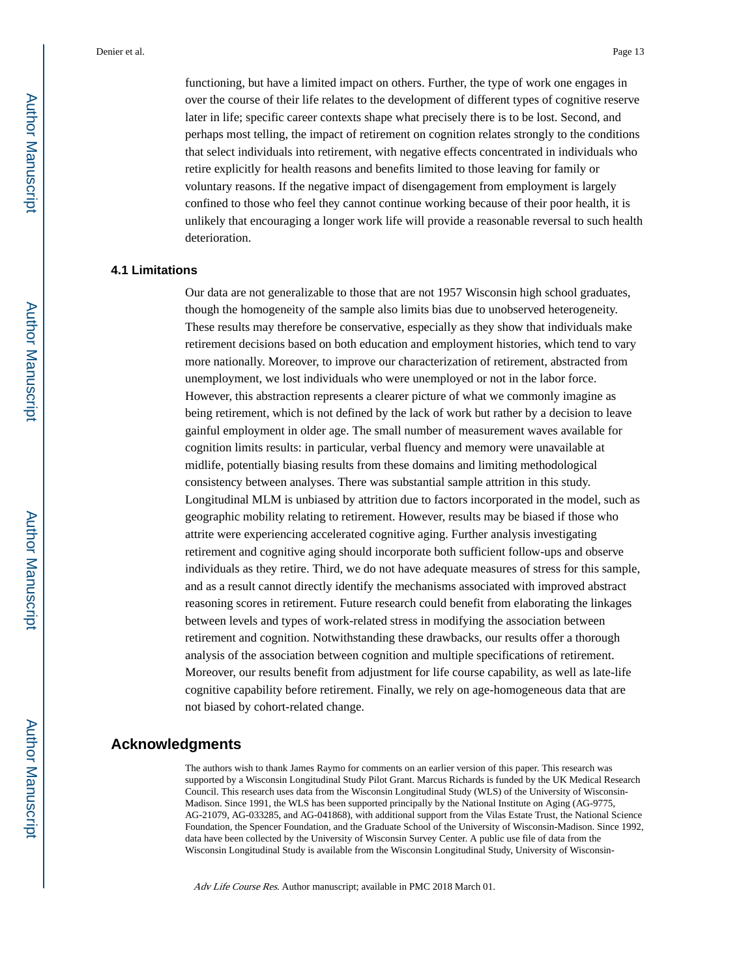functioning, but have a limited impact on others. Further, the type of work one engages in over the course of their life relates to the development of different types of cognitive reserve later in life; specific career contexts shape what precisely there is to be lost. Second, and perhaps most telling, the impact of retirement on cognition relates strongly to the conditions that select individuals into retirement, with negative effects concentrated in individuals who retire explicitly for health reasons and benefits limited to those leaving for family or voluntary reasons. If the negative impact of disengagement from employment is largely confined to those who feel they cannot continue working because of their poor health, it is unlikely that encouraging a longer work life will provide a reasonable reversal to such health deterioration.

#### **4.1 Limitations**

Our data are not generalizable to those that are not 1957 Wisconsin high school graduates, though the homogeneity of the sample also limits bias due to unobserved heterogeneity. These results may therefore be conservative, especially as they show that individuals make retirement decisions based on both education and employment histories, which tend to vary more nationally. Moreover, to improve our characterization of retirement, abstracted from unemployment, we lost individuals who were unemployed or not in the labor force. However, this abstraction represents a clearer picture of what we commonly imagine as being retirement, which is not defined by the lack of work but rather by a decision to leave gainful employment in older age. The small number of measurement waves available for cognition limits results: in particular, verbal fluency and memory were unavailable at midlife, potentially biasing results from these domains and limiting methodological consistency between analyses. There was substantial sample attrition in this study. Longitudinal MLM is unbiased by attrition due to factors incorporated in the model, such as geographic mobility relating to retirement. However, results may be biased if those who attrite were experiencing accelerated cognitive aging. Further analysis investigating retirement and cognitive aging should incorporate both sufficient follow-ups and observe individuals as they retire. Third, we do not have adequate measures of stress for this sample, and as a result cannot directly identify the mechanisms associated with improved abstract reasoning scores in retirement. Future research could benefit from elaborating the linkages between levels and types of work-related stress in modifying the association between retirement and cognition. Notwithstanding these drawbacks, our results offer a thorough analysis of the association between cognition and multiple specifications of retirement. Moreover, our results benefit from adjustment for life course capability, as well as late-life cognitive capability before retirement. Finally, we rely on age-homogeneous data that are not biased by cohort-related change.

#### **Acknowledgments**

The authors wish to thank James Raymo for comments on an earlier version of this paper. This research was supported by a Wisconsin Longitudinal Study Pilot Grant. Marcus Richards is funded by the UK Medical Research Council. This research uses data from the Wisconsin Longitudinal Study (WLS) of the University of Wisconsin-Madison. Since 1991, the WLS has been supported principally by the National Institute on Aging (AG-9775, AG-21079, AG-033285, and AG-041868), with additional support from the Vilas Estate Trust, the National Science Foundation, the Spencer Foundation, and the Graduate School of the University of Wisconsin-Madison. Since 1992, data have been collected by the University of Wisconsin Survey Center. A public use file of data from the Wisconsin Longitudinal Study is available from the Wisconsin Longitudinal Study, University of Wisconsin-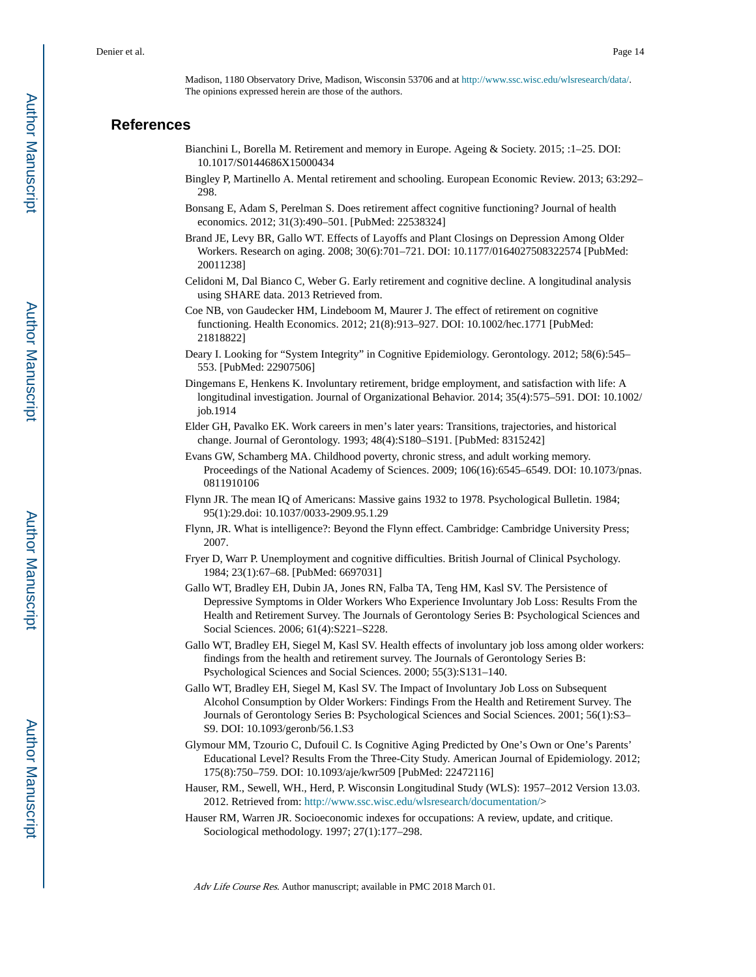Madison, 1180 Observatory Drive, Madison, Wisconsin 53706 and at [http://www.ssc.wisc.edu/wlsresearch/data/.](http://www.ssc.wisc.edu/wlsresearch/data/) The opinions expressed herein are those of the authors.

#### **References**

- Bianchini L, Borella M. Retirement and memory in Europe. Ageing & Society. 2015; :1–25. DOI: 10.1017/S0144686X15000434
- Bingley P, Martinello A. Mental retirement and schooling. European Economic Review. 2013; 63:292– 298.
- Bonsang E, Adam S, Perelman S. Does retirement affect cognitive functioning? Journal of health economics. 2012; 31(3):490–501. [PubMed: 22538324]
- Brand JE, Levy BR, Gallo WT. Effects of Layoffs and Plant Closings on Depression Among Older Workers. Research on aging. 2008; 30(6):701–721. DOI: 10.1177/0164027508322574 [PubMed: 20011238]
- Celidoni M, Dal Bianco C, Weber G. Early retirement and cognitive decline. A longitudinal analysis using SHARE data. 2013 Retrieved from.
- Coe NB, von Gaudecker HM, Lindeboom M, Maurer J. The effect of retirement on cognitive functioning. Health Economics. 2012; 21(8):913–927. DOI: 10.1002/hec.1771 [PubMed: 21818822]
- Deary I. Looking for "System Integrity" in Cognitive Epidemiology. Gerontology. 2012; 58(6):545– 553. [PubMed: 22907506]
- Dingemans E, Henkens K. Involuntary retirement, bridge employment, and satisfaction with life: A longitudinal investigation. Journal of Organizational Behavior. 2014; 35(4):575–591. DOI: 10.1002/ job.1914
- Elder GH, Pavalko EK. Work careers in men's later years: Transitions, trajectories, and historical change. Journal of Gerontology. 1993; 48(4):S180–S191. [PubMed: 8315242]
- Evans GW, Schamberg MA. Childhood poverty, chronic stress, and adult working memory. Proceedings of the National Academy of Sciences. 2009; 106(16):6545–6549. DOI: 10.1073/pnas. 0811910106
- Flynn JR. The mean IQ of Americans: Massive gains 1932 to 1978. Psychological Bulletin. 1984; 95(1):29.doi: 10.1037/0033-2909.95.1.29
- Flynn, JR. What is intelligence?: Beyond the Flynn effect. Cambridge: Cambridge University Press; 2007.
- Fryer D, Warr P. Unemployment and cognitive difficulties. British Journal of Clinical Psychology. 1984; 23(1):67–68. [PubMed: 6697031]
- Gallo WT, Bradley EH, Dubin JA, Jones RN, Falba TA, Teng HM, Kasl SV. The Persistence of Depressive Symptoms in Older Workers Who Experience Involuntary Job Loss: Results From the Health and Retirement Survey. The Journals of Gerontology Series B: Psychological Sciences and Social Sciences. 2006; 61(4):S221–S228.
- Gallo WT, Bradley EH, Siegel M, Kasl SV. Health effects of involuntary job loss among older workers: findings from the health and retirement survey. The Journals of Gerontology Series B: Psychological Sciences and Social Sciences. 2000; 55(3):S131–140.
- Gallo WT, Bradley EH, Siegel M, Kasl SV. The Impact of Involuntary Job Loss on Subsequent Alcohol Consumption by Older Workers: Findings From the Health and Retirement Survey. The Journals of Gerontology Series B: Psychological Sciences and Social Sciences. 2001; 56(1):S3– S9. DOI: 10.1093/geronb/56.1.S3
- Glymour MM, Tzourio C, Dufouil C. Is Cognitive Aging Predicted by One's Own or One's Parents' Educational Level? Results From the Three-City Study. American Journal of Epidemiology. 2012; 175(8):750–759. DOI: 10.1093/aje/kwr509 [PubMed: 22472116]
- Hauser, RM., Sewell, WH., Herd, P. Wisconsin Longitudinal Study (WLS): 1957–2012 Version 13.03. 2012. Retrieved from: [http://www.ssc.wisc.edu/wlsresearch/documentation/>](http://www.ssc.wisc.edu/wlsresearch/documentation/)
- Hauser RM, Warren JR. Socioeconomic indexes for occupations: A review, update, and critique. Sociological methodology. 1997; 27(1):177–298.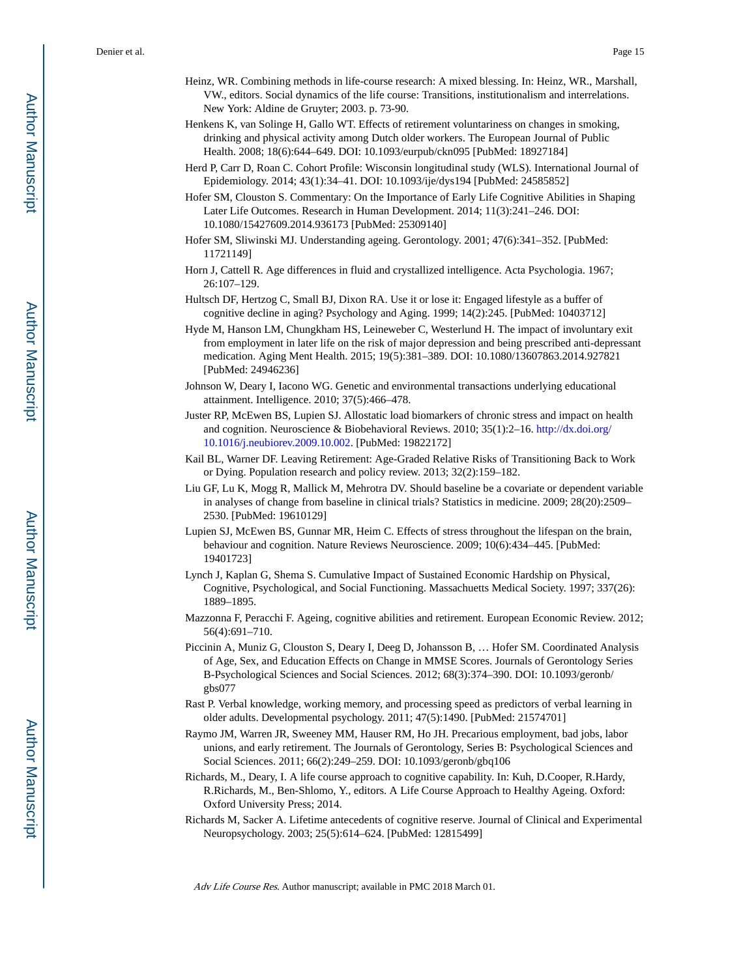- Heinz, WR. Combining methods in life-course research: A mixed blessing. In: Heinz, WR., Marshall, VW., editors. Social dynamics of the life course: Transitions, institutionalism and interrelations. New York: Aldine de Gruyter; 2003. p. 73-90.
- Henkens K, van Solinge H, Gallo WT. Effects of retirement voluntariness on changes in smoking, drinking and physical activity among Dutch older workers. The European Journal of Public Health. 2008; 18(6):644–649. DOI: 10.1093/eurpub/ckn095 [PubMed: 18927184]
- Herd P, Carr D, Roan C. Cohort Profile: Wisconsin longitudinal study (WLS). International Journal of Epidemiology. 2014; 43(1):34–41. DOI: 10.1093/ije/dys194 [PubMed: 24585852]
- Hofer SM, Clouston S. Commentary: On the Importance of Early Life Cognitive Abilities in Shaping Later Life Outcomes. Research in Human Development. 2014; 11(3):241–246. DOI: 10.1080/15427609.2014.936173 [PubMed: 25309140]
- Hofer SM, Sliwinski MJ. Understanding ageing. Gerontology. 2001; 47(6):341–352. [PubMed: 11721149]
- Horn J, Cattell R. Age differences in fluid and crystallized intelligence. Acta Psychologia. 1967; 26:107–129.
- Hultsch DF, Hertzog C, Small BJ, Dixon RA. Use it or lose it: Engaged lifestyle as a buffer of cognitive decline in aging? Psychology and Aging. 1999; 14(2):245. [PubMed: 10403712]
- Hyde M, Hanson LM, Chungkham HS, Leineweber C, Westerlund H. The impact of involuntary exit from employment in later life on the risk of major depression and being prescribed anti-depressant medication. Aging Ment Health. 2015; 19(5):381–389. DOI: 10.1080/13607863.2014.927821 [PubMed: 24946236]
- Johnson W, Deary I, Iacono WG. Genetic and environmental transactions underlying educational attainment. Intelligence. 2010; 37(5):466–478.
- Juster RP, McEwen BS, Lupien SJ. Allostatic load biomarkers of chronic stress and impact on health and cognition. Neuroscience & Biobehavioral Reviews. 2010; 35(1):2–16. [http://dx.doi.org/](http://dx.doi.org/10.1016/j.neubiorev.2009.10.002) [10.1016/j.neubiorev.2009.10.002.](http://dx.doi.org/10.1016/j.neubiorev.2009.10.002) [PubMed: 19822172]
- Kail BL, Warner DF. Leaving Retirement: Age-Graded Relative Risks of Transitioning Back to Work or Dying. Population research and policy review. 2013; 32(2):159–182.
- Liu GF, Lu K, Mogg R, Mallick M, Mehrotra DV. Should baseline be a covariate or dependent variable in analyses of change from baseline in clinical trials? Statistics in medicine. 2009; 28(20):2509– 2530. [PubMed: 19610129]
- Lupien SJ, McEwen BS, Gunnar MR, Heim C. Effects of stress throughout the lifespan on the brain, behaviour and cognition. Nature Reviews Neuroscience. 2009; 10(6):434–445. [PubMed: 19401723]
- Lynch J, Kaplan G, Shema S. Cumulative Impact of Sustained Economic Hardship on Physical, Cognitive, Psychological, and Social Functioning. Massachuetts Medical Society. 1997; 337(26): 1889–1895.
- Mazzonna F, Peracchi F. Ageing, cognitive abilities and retirement. European Economic Review. 2012; 56(4):691–710.
- Piccinin A, Muniz G, Clouston S, Deary I, Deeg D, Johansson B, … Hofer SM. Coordinated Analysis of Age, Sex, and Education Effects on Change in MMSE Scores. Journals of Gerontology Series B-Psychological Sciences and Social Sciences. 2012; 68(3):374–390. DOI: 10.1093/geronb/ gbs077
- Rast P. Verbal knowledge, working memory, and processing speed as predictors of verbal learning in older adults. Developmental psychology. 2011; 47(5):1490. [PubMed: 21574701]
- Raymo JM, Warren JR, Sweeney MM, Hauser RM, Ho JH. Precarious employment, bad jobs, labor unions, and early retirement. The Journals of Gerontology, Series B: Psychological Sciences and Social Sciences. 2011; 66(2):249–259. DOI: 10.1093/geronb/gbq106
- Richards, M., Deary, I. A life course approach to cognitive capability. In: Kuh, D.Cooper, R.Hardy, R.Richards, M., Ben-Shlomo, Y., editors. A Life Course Approach to Healthy Ageing. Oxford: Oxford University Press; 2014.
- Richards M, Sacker A. Lifetime antecedents of cognitive reserve. Journal of Clinical and Experimental Neuropsychology. 2003; 25(5):614–624. [PubMed: 12815499]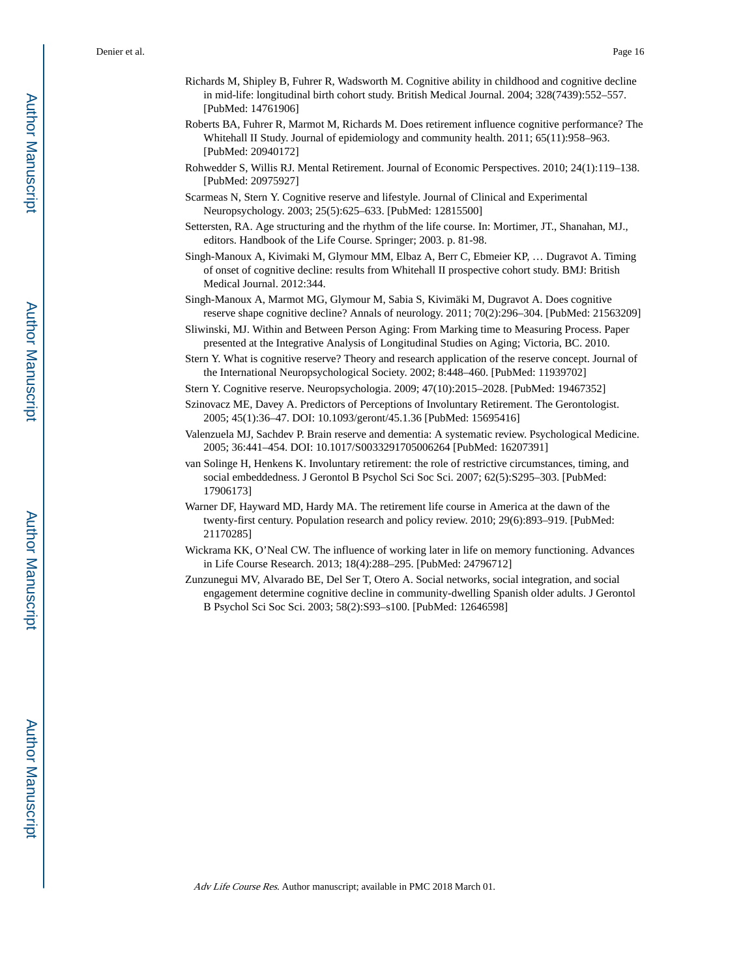- Richards M, Shipley B, Fuhrer R, Wadsworth M. Cognitive ability in childhood and cognitive decline in mid-life: longitudinal birth cohort study. British Medical Journal. 2004; 328(7439):552–557. [PubMed: 14761906]
- Roberts BA, Fuhrer R, Marmot M, Richards M. Does retirement influence cognitive performance? The Whitehall II Study. Journal of epidemiology and community health. 2011; 65(11):958–963. [PubMed: 20940172]
- Rohwedder S, Willis RJ. Mental Retirement. Journal of Economic Perspectives. 2010; 24(1):119–138. [PubMed: 20975927]
- Scarmeas N, Stern Y. Cognitive reserve and lifestyle. Journal of Clinical and Experimental Neuropsychology. 2003; 25(5):625–633. [PubMed: 12815500]
- Settersten, RA. Age structuring and the rhythm of the life course. In: Mortimer, JT., Shanahan, MJ., editors. Handbook of the Life Course. Springer; 2003. p. 81-98.
- Singh-Manoux A, Kivimaki M, Glymour MM, Elbaz A, Berr C, Ebmeier KP, … Dugravot A. Timing of onset of cognitive decline: results from Whitehall II prospective cohort study. BMJ: British Medical Journal. 2012:344.
- Singh-Manoux A, Marmot MG, Glymour M, Sabia S, Kivimäki M, Dugravot A. Does cognitive reserve shape cognitive decline? Annals of neurology. 2011; 70(2):296–304. [PubMed: 21563209]
- Sliwinski, MJ. Within and Between Person Aging: From Marking time to Measuring Process. Paper presented at the Integrative Analysis of Longitudinal Studies on Aging; Victoria, BC. 2010.
- Stern Y. What is cognitive reserve? Theory and research application of the reserve concept. Journal of the International Neuropsychological Society. 2002; 8:448–460. [PubMed: 11939702]
- Stern Y. Cognitive reserve. Neuropsychologia. 2009; 47(10):2015–2028. [PubMed: 19467352]
- Szinovacz ME, Davey A. Predictors of Perceptions of Involuntary Retirement. The Gerontologist. 2005; 45(1):36–47. DOI: 10.1093/geront/45.1.36 [PubMed: 15695416]
- Valenzuela MJ, Sachdev P. Brain reserve and dementia: A systematic review. Psychological Medicine. 2005; 36:441–454. DOI: 10.1017/S0033291705006264 [PubMed: 16207391]
- van Solinge H, Henkens K. Involuntary retirement: the role of restrictive circumstances, timing, and social embeddedness. J Gerontol B Psychol Sci Soc Sci. 2007; 62(5):S295–303. [PubMed: 17906173]
- Warner DF, Hayward MD, Hardy MA. The retirement life course in America at the dawn of the twenty-first century. Population research and policy review. 2010; 29(6):893–919. [PubMed: 21170285]
- Wickrama KK, O'Neal CW. The influence of working later in life on memory functioning. Advances in Life Course Research. 2013; 18(4):288–295. [PubMed: 24796712]
- Zunzunegui MV, Alvarado BE, Del Ser T, Otero A. Social networks, social integration, and social engagement determine cognitive decline in community-dwelling Spanish older adults. J Gerontol B Psychol Sci Soc Sci. 2003; 58(2):S93–s100. [PubMed: 12646598]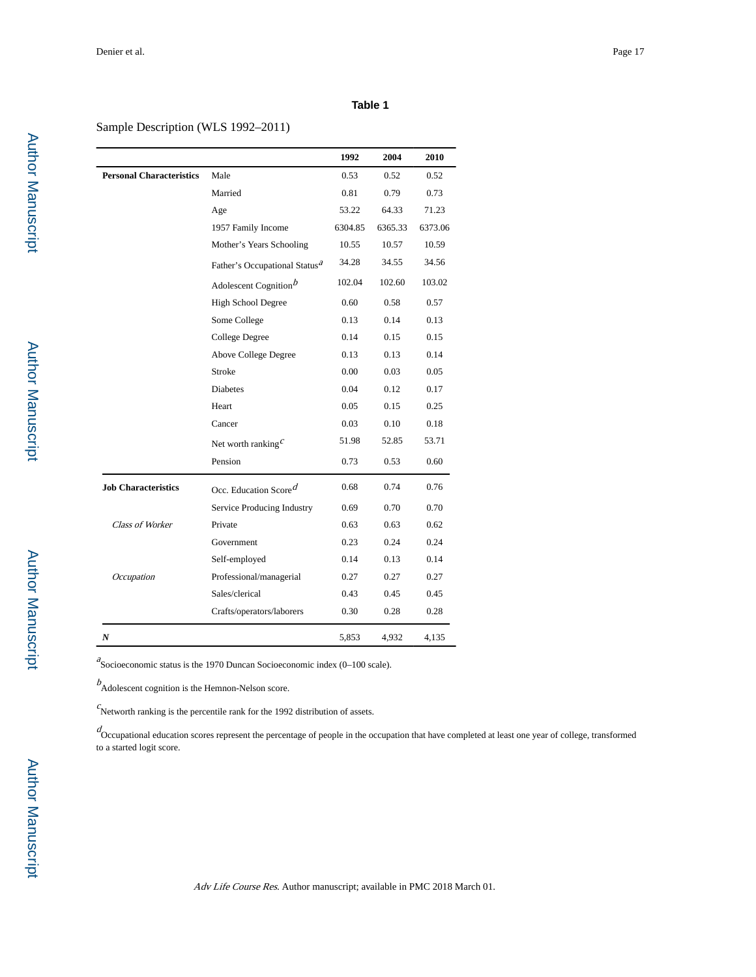#### Sample Description (WLS 1992–2011)

|                                 |                                                | 1992    | 2004    | 2010    |
|---------------------------------|------------------------------------------------|---------|---------|---------|
| <b>Personal Characteristics</b> | Male                                           | 0.53    | 0.52    | 0.52    |
|                                 | Married                                        | 0.81    | 0.79    | 0.73    |
|                                 | Age                                            | 53.22   | 64.33   | 71.23   |
|                                 | 1957 Family Income                             | 6304.85 | 6365.33 | 6373.06 |
|                                 | Mother's Years Schooling                       | 10.55   | 10.57   | 10.59   |
|                                 | Father's Occupational Status <sup>a</sup>      | 34.28   | 34.55   | 34.56   |
|                                 | Adolescent Cognition <sup>b</sup>              | 102.04  | 102.60  | 103.02  |
|                                 | High School Degree                             | 0.60    | 0.58    | 0.57    |
|                                 | Some College                                   | 0.13    | 0.14    | 0.13    |
|                                 | College Degree                                 | 0.14    | 0.15    | 0.15    |
|                                 | Above College Degree                           | 0.13    | 0.13    | 0.14    |
|                                 | Stroke                                         | 0.00    | 0.03    | 0.05    |
|                                 | <b>Diabetes</b>                                | 0.04    | 0.12    | 0.17    |
|                                 | Heart                                          | 0.05    | 0.15    | 0.25    |
|                                 | Cancer                                         | 0.03    | 0.10    | 0.18    |
|                                 | Net worth ranking <sup><math>c</math></sup>    | 51.98   | 52.85   | 53.71   |
|                                 | Pension                                        | 0.73    | 0.53    | 0.60    |
| <b>Job Characteristics</b>      | Occ. Education Score <sup><math>d</math></sup> | 0.68    | 0.74    | 0.76    |
|                                 | Service Producing Industry                     | 0.69    | 0.70    | 0.70    |
| <b>Class of Worker</b>          | Private                                        | 0.63    | 0.63    | 0.62    |
|                                 | Government                                     | 0.23    | 0.24    | 0.24    |
|                                 | Self-employed                                  | 0.14    | 0.13    | 0.14    |
| Occupation                      | Professional/managerial                        | 0.27    | 0.27    | 0.27    |
|                                 | Sales/clerical                                 | 0.43    | 0.45    | 0.45    |
|                                 | Crafts/operators/laborers                      | 0.30    | 0.28    | 0.28    |
| N                               |                                                | 5,853   | 4,932   | 4,135   |

 $\alpha$ Socioeconomic status is the 1970 Duncan Socioeconomic index (0–100 scale).

b Adolescent cognition is the Hemnon-Nelson score.

 $c$ Networth ranking is the percentile rank for the 1992 distribution of assets.

 $d$  Occupational education scores represent the percentage of people in the occupation that have completed at least one year of college, transformed to a started logit score.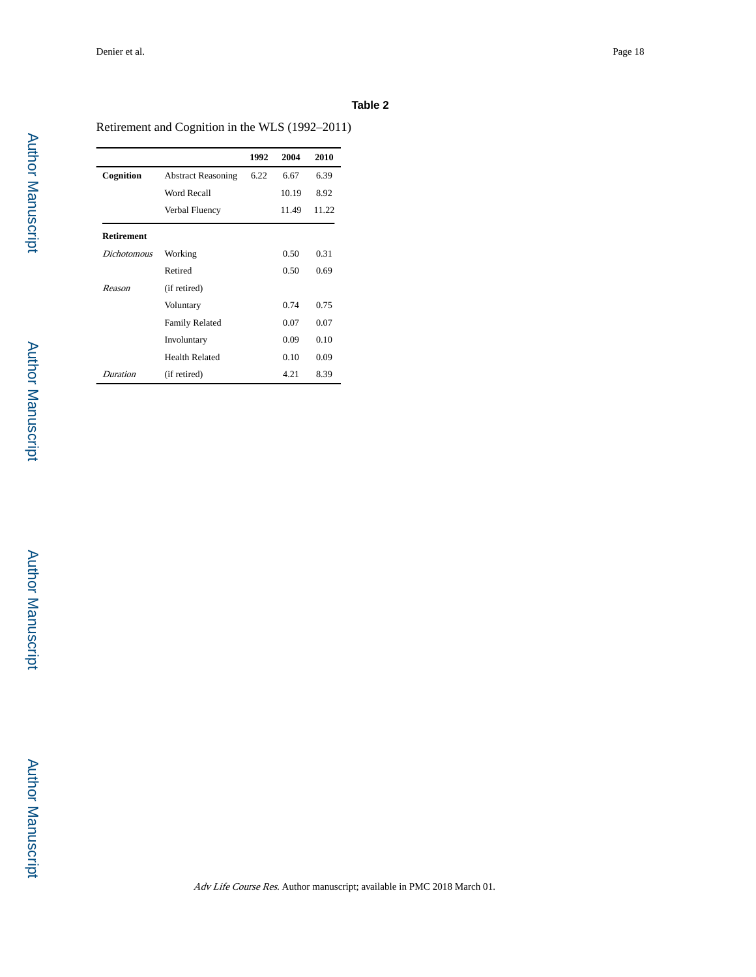Retirement and Cognition in the WLS (1992–2011)

|                    |                           | 1992 | 2004  | 2010  |
|--------------------|---------------------------|------|-------|-------|
| Cognition          | <b>Abstract Reasoning</b> | 6.22 | 6.67  | 6.39  |
|                    | Word Recall               |      | 10.19 | 8.92  |
|                    | Verbal Fluency            |      | 11.49 | 11.22 |
| <b>Retirement</b>  |                           |      |       |       |
| <b>Dichotomous</b> | Working                   |      | 0.50  | 0.31  |
|                    | Retired                   |      | 0.50  | 0.69  |
| Reason             | (if retired)              |      |       |       |
|                    | Voluntary                 |      | 0.74  | 0.75  |
|                    | <b>Family Related</b>     |      | 0.07  | 0.07  |
|                    | Involuntary               |      | 0.09  | 0.10  |
|                    | <b>Health Related</b>     |      | 0.10  | 0.09  |
| <b>Duration</b>    | (if retired)              |      | 4.21  | 8.39  |
|                    |                           |      |       |       |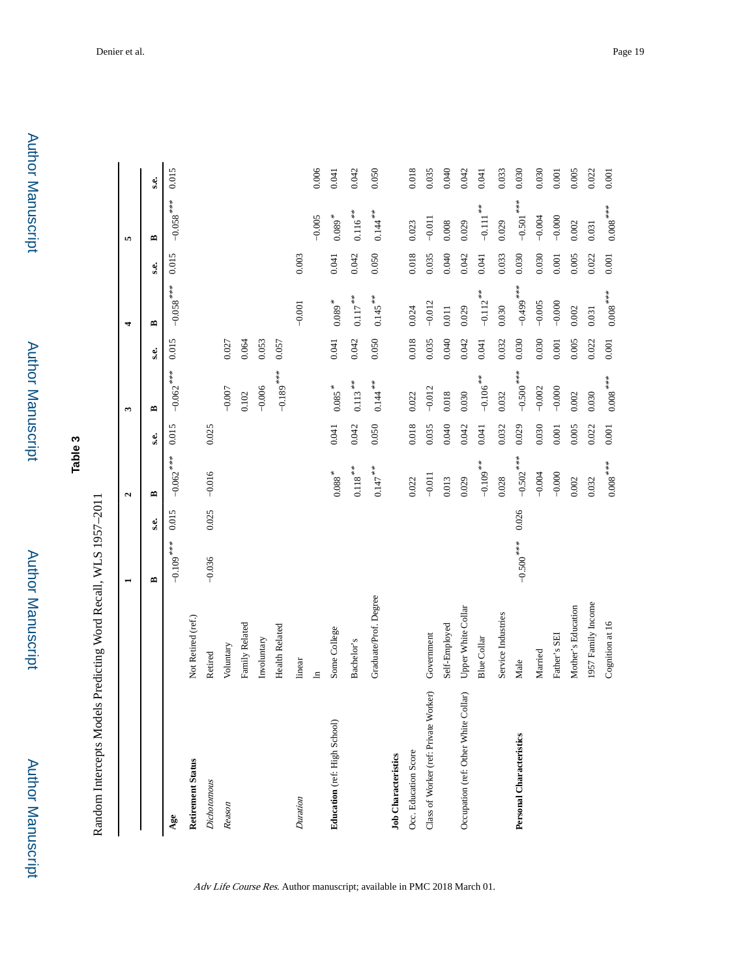Random Intercepts Models Predicting Word Recall, WLS 1957-2011 Random Intercepts Models Predicting Word Recall, WLS 1957–2011

|                                       |                       | −                       |       | 2                             |           | 3                       |         | 4                       |           | S.                     |         |
|---------------------------------------|-----------------------|-------------------------|-------|-------------------------------|-----------|-------------------------|---------|-------------------------|-----------|------------------------|---------|
|                                       |                       | $\approx$               | s.e.  | $\approx$                     | s.e.      | $\approx$               | s.e     | $\approx$               | s.e.      | ≏                      | s.e.    |
| Age                                   |                       | $-0.109$ <sup>***</sup> | 0.015 | $-0.062$ <sup>***</sup>       | 0.015     | $-0.062$ <sup>***</sup> | 0.015   | $-0.058***$             | 0.015     | $-0.058***$            | 0.015   |
| <b>Retirement Status</b>              | Not Retired (ref.)    |                         |       |                               |           |                         |         |                         |           |                        |         |
| Dichotomous                           | Retired               | $-0.036$                | 0.025 | $-0.016$                      | 0.025     |                         |         |                         |           |                        |         |
| Reason                                | Voluntary             |                         |       |                               |           | $-0.007$                | 0.027   |                         |           |                        |         |
|                                       | Family Related        |                         |       |                               |           | 0.102                   | 0.064   |                         |           |                        |         |
|                                       | Involuntary           |                         |       |                               |           | $-0.006$                | 0.053   |                         |           |                        |         |
|                                       | Health Related        |                         |       |                               |           | $-0.189$ <sup>***</sup> | 0.057   |                         |           |                        |         |
| Duration                              | linear                |                         |       |                               |           |                         |         | $-0.001$                | 0.003     |                        |         |
|                                       | $\Xi$                 |                         |       |                               |           |                         |         |                         |           | $-0.005$               | 0.006   |
| Education (ref: High School)          | Some College          |                         |       | $0.088$ $^{\ast}$             | 0.041     | $0.085$ $^{\ast}$       | 0.041   | $0.089$ $^{\ast}$       | 0.041     | $0.089$ <sup>*</sup>   | 0.041   |
|                                       | Bachelor's            |                         |       | $0.118$ $\rlap{.}^{\ast\ast}$ | 0.042     | $0.113***$              | 0.042   | $0.117***$              | 0.042     | $0.116***$             | 0.042   |
|                                       | Graduate/Prof. Degree |                         |       | $0.147***$                    | 0.050     | $0.144***$              | 0.050   | $0.145***$              | 0.050     | $0.144***$             | 0.050   |
| <b>Job Characteristics</b>            |                       |                         |       |                               |           |                         |         |                         |           |                        |         |
| Occ. Education Score                  |                       |                         |       | 0.022                         | 0.018     | 0.022                   | 0.018   | 0.024                   | 0.018     | 0.023                  | 0.018   |
| Class of Worker (ref: Private Worker) | Government            |                         |       | $-0.011$                      | 0.035     | $-0.012$                | 0.035   | $-0.012$                | 0.035     | $-0.011$               | 0.035   |
|                                       | Self-Employed         |                         |       | 0.013                         | 0.040     | 0.018                   | 0.040   | 0.011                   | 0.040     | $0.008$                | 0.040   |
| Occupation (ref: Other White Collar)  | Upper White Collar    |                         |       | 0.029                         | 0.042     | 0.030                   | 0.042   | 0.029                   | 0.042     | 0.029                  | 0.042   |
|                                       | Blue Collar           |                         |       | $-0.109***$                   | 0.041     | $-0.106$ <sup>**</sup>  | 0.041   | $-0.112**$              | 0.041     | $-0.111$ <sup>**</sup> | 0.041   |
|                                       | Service Industries    |                         |       | 0.028                         | 0.032     | 0.032                   | 0.032   | 0.030                   | 0.033     | 0.029                  | 0.033   |
| <b>Personal Characteristics</b>       | Male                  | $-0.500***$             | 0.026 | $-0.502$ <sup>***</sup>       | 0.029     | $-0.500$ <sup>***</sup> | 0.030   | $-0.499$ <sup>***</sup> | 0.030     | $-0.501$ ***           | 0.030   |
|                                       | Married               |                         |       | $-0.004$                      | 0.030     | $-0.002$                | 0.030   | $-0.005$                | 0.030     | $-0.004$               | 0.030   |
|                                       | Father's SEI          |                         |       | $-0.000$                      | $0.001$   | $-0.000$                | 0.001   | $-0.000$                | 0.001     | $-0.000$               | 0.001   |
|                                       | Mother's Education    |                         |       | $0.002\,$                     | 0.005     | $0.002$                 | $0.005$ | $0.002$                 | $0.005$   | $0.002\,$              | $0.005$ |
|                                       | 1957 Family Income    |                         |       | 0.032                         | 0.022     | 0.030                   | 0.022   | 0.031                   | 0.022     | 0.031                  | 0.022   |
|                                       | Cognition at 16       |                         |       | $0.008***$                    | $\!0.001$ | $0.008^{\;***}$         | 0.001   | $0.008^{\;***}$         | $0.001\,$ | $0.008***$             | $0.001$ |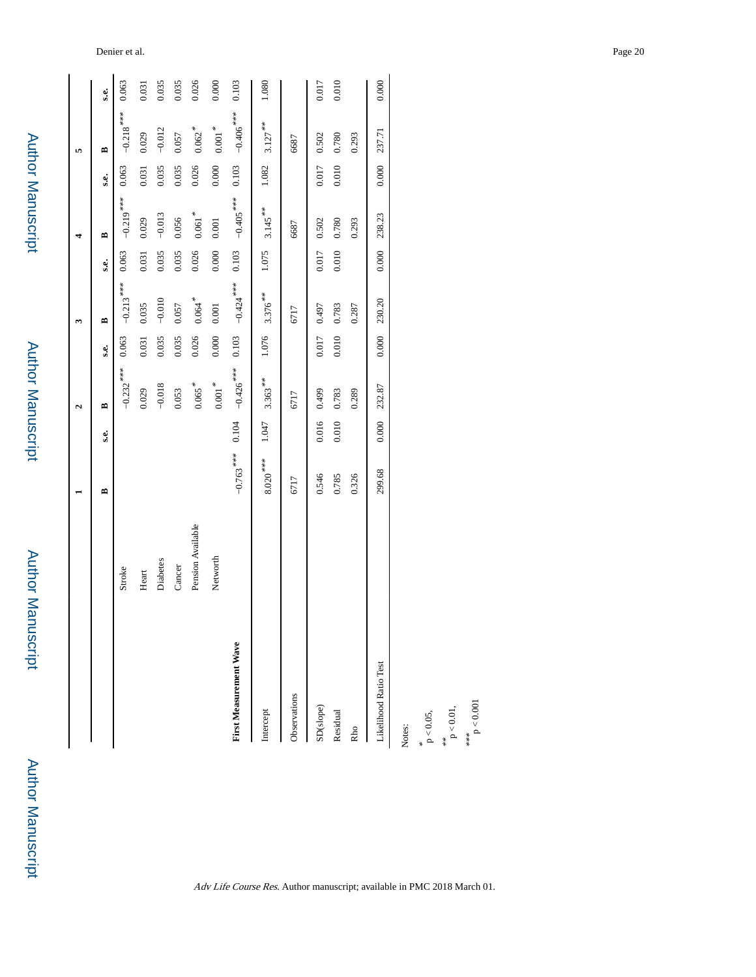| ı<br>į<br>í<br>i.<br>I |
|------------------------|
| 1                      |
| Ì<br>٠                 |

# Author ManuscriptAuthor Manuscript

| ו ה  |  |
|------|--|
| Ξ    |  |
| inon |  |
|      |  |
|      |  |

|                        |                   | $\blacksquare$ |       | Z                       |           | 3                    |       | 4                       |           | In,                     |         |
|------------------------|-------------------|----------------|-------|-------------------------|-----------|----------------------|-------|-------------------------|-----------|-------------------------|---------|
|                        |                   | $\mathbf{r}$   | s.e.  | $\mathbf{r}$            | S.E.      | m                    | s.e.  | ≏                       | s.e.      | $\approx$               | s.e.    |
|                        | Stroke            |                |       | $-0.232$ <sup>***</sup> | 0.063     | $-0.213***$          | 0.063 | $-0.219$ ***            | 0.063     | $-0.218$ ***            | 0.063   |
|                        | Heart             |                |       | 0.029                   | 0.031     | 0.035                | 0.031 | 0.029                   | 0.031     | 0.029                   | 0.031   |
|                        | Diabetes          |                |       | $-0.018$                | 0.035     | $-0.010$             | 0.035 | $-0.013$                | 0.035     | $-0.012$                | 0.035   |
|                        | Cancer            |                |       | 0.053                   | 0.035     | $0.057$              | 0.035 | 0.056                   | 0.035     | 0.057                   | 0.035   |
|                        | Pension Available |                |       | $0.065$ <sup>*</sup>    | 0.026     | $0.064$ <sup>*</sup> | 0.026 | $0.061$ $^{\ast}$       | 0.026     | $0.062$ <sup>*</sup>    | 0.026   |
|                        | Networth          |                |       | $0.001$ $^{\ast}$       | 0.000     | $\,0.001$            | 0.000 | 0.001                   | 0.000     | $0.001$ $^{\ast}$       | $0.000$ |
| First Measurement Wave |                   | $-0.763$ ***   | 0.104 | $-0.426$ ***            | 0.103     | $-0.424$ ***         | 0.103 | $-0.405$ <sup>***</sup> | 0.103     | $-0.406$ <sup>***</sup> | 0.103   |
| Intercept              |                   | $8.020***$     | 1.047 | $3.363***$              | 1.076     | $3.376***$           | 1.075 | $3.145***$              | 1.082     | $3.127***$              | 1.080   |
| Observations           |                   | 6717           |       | 6717                    |           | 6717                 |       | 6687                    |           | 6687                    |         |
| SD(slope)              |                   | 0.546          | 0.016 | 0.499                   | 0.017     | 0.497                | 0.017 | 0.502                   | 0.017     | 0.502                   | 0.017   |
| Residual               |                   | 0.785          | 0.010 | 0.783                   | $0.010\,$ | 0.783                | 0.010 | 0.780                   | $0.010\,$ | 0.780                   | 0.010   |
| Rho                    |                   | 0.326          |       | 0.289                   |           | 0.287                |       | 0.293                   |           | 0.293                   |         |
| Likelihood Ratio Test  |                   | 299.68         | 0.000 | 232.87                  | 0.000     | 230.20               | 0.000 | 238.23                  | 0.000     | 237.71                  | 0.000   |
| Notes:                 |                   |                |       |                         |           |                      |       |                         |           |                         |         |
| $_{p}^{*}$ < 0.05,     |                   |                |       |                         |           |                      |       |                         |           |                         |         |
| ** $p < 0.01$ ,        |                   |                |       |                         |           |                      |       |                         |           |                         |         |
| ***<br>$p < 0.001$     |                   |                |       |                         |           |                      |       |                         |           |                         |         |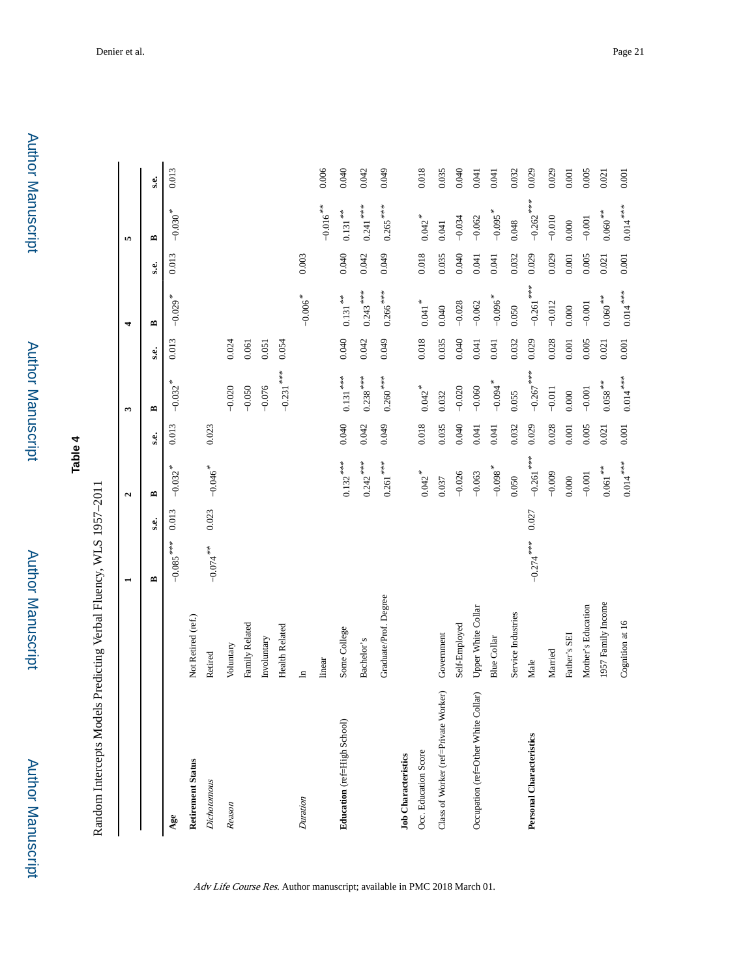Random Intercepts Models Predicting Verbal Fluency, WLS 1957-2011 Random Intercepts Models Predicting Verbal Fluency, WLS 1957–2011

|                                      |                       | $\overline{\phantom{0}}$ |       | $\mathbf{a}$          |           | S                       |           | 4                     |           | in,                     |         |
|--------------------------------------|-----------------------|--------------------------|-------|-----------------------|-----------|-------------------------|-----------|-----------------------|-----------|-------------------------|---------|
|                                      |                       | ≏                        | s.e.  | ≏                     | s.e.      | $\approx$               | s.e.      | $\approx$             | s.e.      | $\approx$               | S.E.    |
| Age                                  |                       | $-0.085$ ***             | 0.013 | $-0.032$ <sup>*</sup> | 0.013     | $-0.032$ <sup>*</sup>   | 0.013     | $-0.029$ <sup>*</sup> | 0.013     | $-0.030$ <sup>*</sup>   | 0.013   |
| Retirement Status                    | Not Retired (ref.)    |                          |       |                       |           |                         |           |                       |           |                         |         |
| Dichotomous                          | Retired               | $-0.074$ **              | 0.023 | $-0.046$ <sup>*</sup> | 0.023     |                         |           |                       |           |                         |         |
| Reason                               | Voluntary             |                          |       |                       |           | $-0.020$                | 0.024     |                       |           |                         |         |
|                                      | Family Related        |                          |       |                       |           | $-0.050$                | 0.061     |                       |           |                         |         |
|                                      | Involuntary           |                          |       |                       |           | $-0.076$                | 0.051     |                       |           |                         |         |
|                                      | Health Related        |                          |       |                       |           | $-0.231$ <sup>***</sup> | 0.054     |                       |           |                         |         |
| Duration                             | $\Xi$                 |                          |       |                       |           |                         |           | $-0.006$ <sup>*</sup> | 0.003     |                         |         |
|                                      | linear                |                          |       |                       |           |                         |           |                       |           | $-0.016$ <sup>**</sup>  | 0.006   |
| Education (ref=High School)          | Some College          |                          |       | $0.132***$            | 0.040     | $0.131$ ***             | 0.040     | $0.131***$            | 0.040     | $0.131***$              | 0.040   |
|                                      | Bachelor's            |                          |       | $0.242$ ***           | 0.042     | $0.238***$              | 0.042     | $0.243***$            | 0.042     | $0.241$ ***             | 0.042   |
|                                      | Graduate/Prof. Degree |                          |       | $0.261$ ***           | 0.049     | $0.260$ ***             | 0.049     | $0.266$ ***           | 0.049     | $0.265***$              | 0.049   |
| <b>Job Characteristics</b>           |                       |                          |       |                       |           |                         |           |                       |           |                         |         |
| Occ. Education Score                 |                       |                          |       | $0.042$ <sup>*</sup>  | 0.018     | $0.042$ <sup>*</sup>    | 0.018     | $0.041$ $^{\ast}$     | 0.018     | $0.042$ <sup>*</sup>    | 0.018   |
| Class of Worker (ref=Private Worker) | Government            |                          |       | 0.037                 | 0.035     | 0.032                   | 0.035     | 0.040                 | 0.035     | 0.041                   | 0.035   |
|                                      | Self-Employed         |                          |       | $-0.026$              | 0.040     | $-0.020$                | 0.040     | $-0.028$              | 0.040     | $-0.034$                | 0.040   |
| Occupation (ref=Other White Collar)  | Upper White Collar    |                          |       | $-0.063$              | 0.041     | $-0.060$                | 0.041     | $-0.062$              | 0.041     | $-0.062$                | 0.041   |
|                                      | Blue Collar           |                          |       | $-0.098$ <sup>*</sup> | 0.041     | $-0.094$ <sup>*</sup>   | 0.041     | $-0.096$ <sup>*</sup> | 0.041     | $-0.095$ <sup>*</sup>   | 0.041   |
|                                      | Service Industries    |                          |       | 0.050                 | 0.032     | 0.055                   | 0.032     | 0.050                 | 0.032     | 0.048                   | 0.032   |
| <b>Personal Characteristics</b>      | Male                  | $-0.274$ ***             | 0.027 | $-0.261$ ***          | 0.029     | $-0.267$ ***            | 0.029     | $-0.261$ ***          | 0.029     | $-0.262$ <sup>***</sup> | 0.029   |
|                                      | Married               |                          |       | $-0.009$              | 0.028     | $-0.011$                | 0.028     | $-0.012$              | 0.029     | $-0.010$                | 0.029   |
|                                      | Father's SEI          |                          |       | $0.000$               | $0.001$   | 0.000                   | $0.001\,$ | $0.000$               | $0.001\,$ | $0.000$                 | $0.001$ |
|                                      | Mother's Education    |                          |       | $-0.001$              | 0.005     | $-0.001$                | 0.005     | $-0.001$              | 0.005     | $-0.001$                | 0.005   |
|                                      | 1957 Family Income    |                          |       | $0.061\sp{***}$       | 0.021     |                         | 0.021     | $0.060^{\ast\ast}$    | 0.021     | $0.060^{\ast\ast}$      | 0.021   |
|                                      | Cognition at 16       |                          |       | $0.014***$            | $0.001\,$ | $0.014***$              | $0.001\,$ | $0.014***$            | 0.001     | $0.014***$              | 0.001   |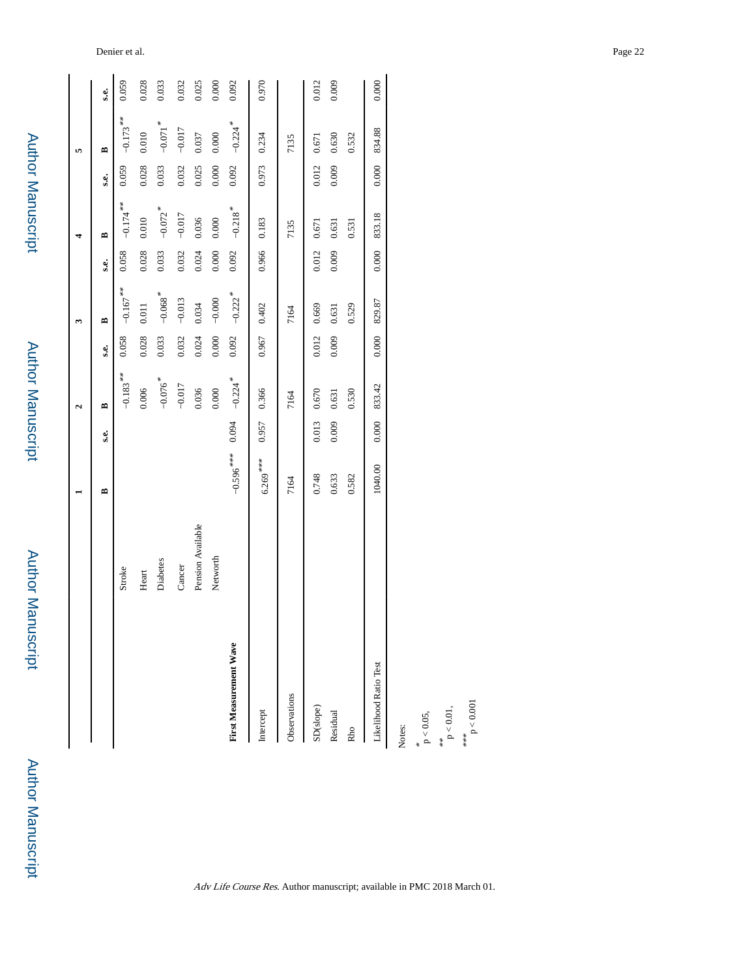| i      |
|--------|
| ١      |
|        |
| Ì<br>ï |
| ļ      |
| ٠      |
|        |

**1**

 $\mathbf{a}$ 

 Author ManuscriptAuthor Manuscript

## Author Manuscript Author Manuscript

 $\mathbf{v}$ 

 $\overline{a}$ 

 $\ddot{\mathbf{e}}$ 

|                        |                   |                         |       | $\mathbf{\hat{z}}$    |           | 3                     |           | 4                     |         | ın,                   |         |
|------------------------|-------------------|-------------------------|-------|-----------------------|-----------|-----------------------|-----------|-----------------------|---------|-----------------------|---------|
|                        |                   | m                       | s.e.  | $\mathbf{r}$          | s.e.      | $\mathbf{r}$          | s.e.      | $\mathbf{r}$          | s.e.    | $\mathbf{r}$          | s.e.    |
|                        | Stroke            |                         |       | $-0.183***$           | 0.058     | $-0.167$ **           | 0.058     | $-0.174$ **           | 0.059   | $-0.173**$            | 0.059   |
|                        | Heart             |                         |       | 0.006                 | 0.028     | 0.011                 | 0.028     | 0.010                 | 0.028   | 0.010                 | 0.028   |
|                        | Diabetes          |                         |       | $-0.076$ <sup>*</sup> | 0.033     | $-0.068$ <sup>*</sup> | 0.033     | $-0.072$ <sup>*</sup> | 0.033   | $-0.071$ <sup>*</sup> | 0.033   |
|                        | Cancer            |                         |       | $-0.017$              | 0.032     | $-0.013$              | 0.032     | $-0.017$              | 0.032   | $-0.017$              | 0.032   |
|                        | Pension Available |                         |       | 0.036                 | 0.024     | 0.034                 | 0.024     | 0.036                 | 0.025   | 0.037                 | 0.025   |
|                        | Networth          |                         |       | $0.000$               | $0.000\,$ | $-0.000$              | $0.000\,$ | $0.000\,$             | $0.000$ | $0.000\,$             | $0.000$ |
| First Measurement Wave |                   | $-0.596$ <sup>***</sup> | 0.094 | $-0.224$ <sup>*</sup> | 0.092     | $-0.222$ <sup>*</sup> | 0.092     | $-0.218$ <sup>*</sup> | 0.092   | $-0.224$ <sup>*</sup> | 0.092   |
| Intercept              |                   | $6.269***$              | 0.957 | 0.366                 | 0.967     | 0.402                 | 0.966     | 0.183                 | 0.973   | 0.234                 | 0.970   |
| Observations           |                   | 7164                    |       | 7164                  |           | 7164                  |           | 7135                  |         | 7135                  |         |
| SD(slope)              |                   | 0.748                   | 0.013 | 0.670                 | 0.012     | 0.669                 | 0.012     | 0.671                 | 0.012   | 0.671                 | 0.012   |
| Residual               |                   | 0.633                   | 0.009 | 0.631                 | 0.009     | $\,0.631$             | 0.009     | 0.631                 | 0.009   | 0.630                 | 0.009   |
| $\rm Rho$              |                   | 0.582                   |       | 0.530                 |           | 0.529                 |           | 0.531                 |         | 0.532                 |         |
| Likelihood Ratio Test  |                   | 1040.00                 | 0.000 | 833.42                | 0.000     | 829.87                | 0.000     | 833.18                | 0.000   | 834.88                | 0.000   |
| Notes:                 |                   |                         |       |                       |           |                       |           |                       |         |                       |         |
| $p < 0.05$ ,           |                   |                         |       |                       |           |                       |           |                       |         |                       |         |
| **<br>$p < 0.01$ ,     |                   |                         |       |                       |           |                       |           |                       |         |                       |         |
| ***<br>$p < 0.001$     |                   |                         |       |                       |           |                       |           |                       |         |                       |         |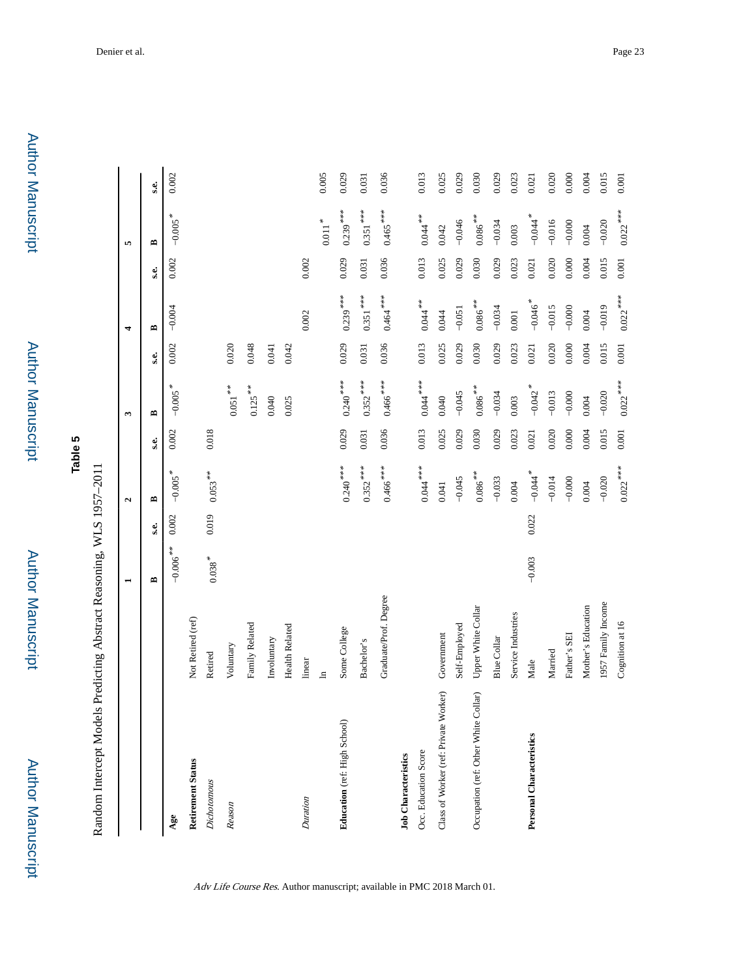Random Intercept Models Predicting Abstract Reasoning, WLS 1957-2011 Random Intercept Models Predicting Abstract Reasoning, WLS 1957–2011

|                                       |                       | $\blacksquare$       |       | $\mathbf{\hat{z}}$             |         | 3                              |           | 4                     |           | 5                     |         |
|---------------------------------------|-----------------------|----------------------|-------|--------------------------------|---------|--------------------------------|-----------|-----------------------|-----------|-----------------------|---------|
|                                       |                       | $\blacksquare$       | s.e.  | ≏                              | s.e.    | ≏                              | s.e.      | $\mathbf{r}$          | s.e.      | ≏                     | s.e.    |
| $_{\rm age}$                          |                       | $-0.006***$          | 0.002 | $-0.005$ <sup>*</sup>          | 0.002   | $-0.005$ <sup>*</sup>          | 0.002     | $-0.004$              | 0.002     | $-0.005$ <sup>*</sup> | 0.002   |
| Retirement Status                     | Not Retired (ref)     |                      |       |                                |         |                                |           |                       |           |                       |         |
| Dichotomous                           | Retired               | $0.038$ <sup>*</sup> | 0.019 | $0.053***$                     | 0.018   |                                |           |                       |           |                       |         |
| Reason                                | Voluntary             |                      |       |                                |         | $0.051***$                     | 0.020     |                       |           |                       |         |
|                                       | Family Related        |                      |       |                                |         | $0.125***$                     | $0.048\,$ |                       |           |                       |         |
|                                       | Involuntary           |                      |       |                                |         | 0.040                          | 0.041     |                       |           |                       |         |
|                                       | Health Related        |                      |       |                                |         | 0.025                          | 0.042     |                       |           |                       |         |
| Duration                              | linear                |                      |       |                                |         |                                |           | 0.002                 | 0.002     |                       |         |
|                                       | $\Xi$                 |                      |       |                                |         |                                |           |                       |           | $0.011$ $^{\ast}$     | 0.005   |
| Education (ref: High School)          | Some College          |                      |       | $0.240***$                     | 0.029   | $0.240***$                     | 0.029     | $0.239***$            | 0.029     | $0.239***$            | 0.029   |
|                                       | Bachelor's            |                      |       | $0.352$ ***                    | 0.031   | $0.352$ <sup>***</sup>         | 0.031     | $0.351$ ***           | 0.031     | $0.351***$            | 0.031   |
|                                       | Graduate/Prof. Degree |                      |       | $0.466$ ***                    | 0.036   | $0.466$ ***                    | 0.036     | $0.464$ ***           | 0.036     | $0.465$ ***           | 0.036   |
| <b>Job Characteristics</b>            |                       |                      |       |                                |         |                                |           |                       |           |                       |         |
| Occ. Education Score                  |                       |                      |       | $0.044$ ***                    | 0.013   | $0.044$ <sup>***</sup>         | 0.013     | $0.044***$            | 0.013     | $0.044***$            | 0.013   |
| Class of Worker (ref: Private Worker) | Government            |                      |       | 0.041                          | 0.025   | 0.040                          | 0.025     | 0.044                 | 0.025     | 0.042                 | 0.025   |
|                                       | Self-Employed         |                      |       | $-0.045$                       | 0.029   | $-0.045$                       | 0.029     | $-0.051$              | 0.029     | $-0.046$              | 0.029   |
| Occupation (ref: Other White Collar)  | Upper White Collar    |                      |       | $0.086$ $\hspace{0.1cm}^{***}$ | 0.030   | $0.086$ $\hspace{0.1cm}^{***}$ | 0.030     | $0.086\sp{^{**}}$     | 0.030     | $0.086***$            | 0.030   |
|                                       | Blue Collar           |                      |       | $-0.033$                       | 0.029   | $-0.034$                       | 0.029     | $-0.034$              | 0.029     | $-0.034$              | 0.029   |
|                                       | Service Industries    |                      |       | $0.004$                        | 0.023   | 0.003                          | 0.023     | $0.001$               | 0.023     | 0.003                 | 0.023   |
| <b>Personal Characteristics</b>       | Male                  | $-0.003$             | 0.022 | $-0.044$ <sup>*</sup>          | 0.021   | $-0.042$ <sup>*</sup>          | 0.021     | $-0.046$ <sup>*</sup> | 0.021     | $-0.044$ <sup>*</sup> | 0.021   |
|                                       | Married               |                      |       | $-0.014$                       | 0.020   | $-0.013$                       | 0.020     | $-0.015$              | 0.020     | $-0.016$              | 0.020   |
|                                       | Father's SEI          |                      |       | $-0.000$                       | 0.000   | $-0.000$                       | 0.000     | $-0.000$              | 0.000     | $-0.000$              | $0.000$ |
|                                       | Mother's Education    |                      |       | $0.004$                        | $0.004$ | $0.004$                        | $0.004$   | $0.004$               | $0.004$   | 0.004                 | 0.004   |
|                                       | 1957 Family Income    |                      |       | $-0.020$                       | 0.015   | $-0.020$                       | 0.015     | $-0.019$              | 0.015     | $-0.020$              | 0.015   |
|                                       | Cognition at 16       |                      |       | $0.022***$                     | 0.001   | $0.022***$                     | $0.001\,$ | $0.022***$            | $0.001\,$ | $0.022***$            | 0.001   |